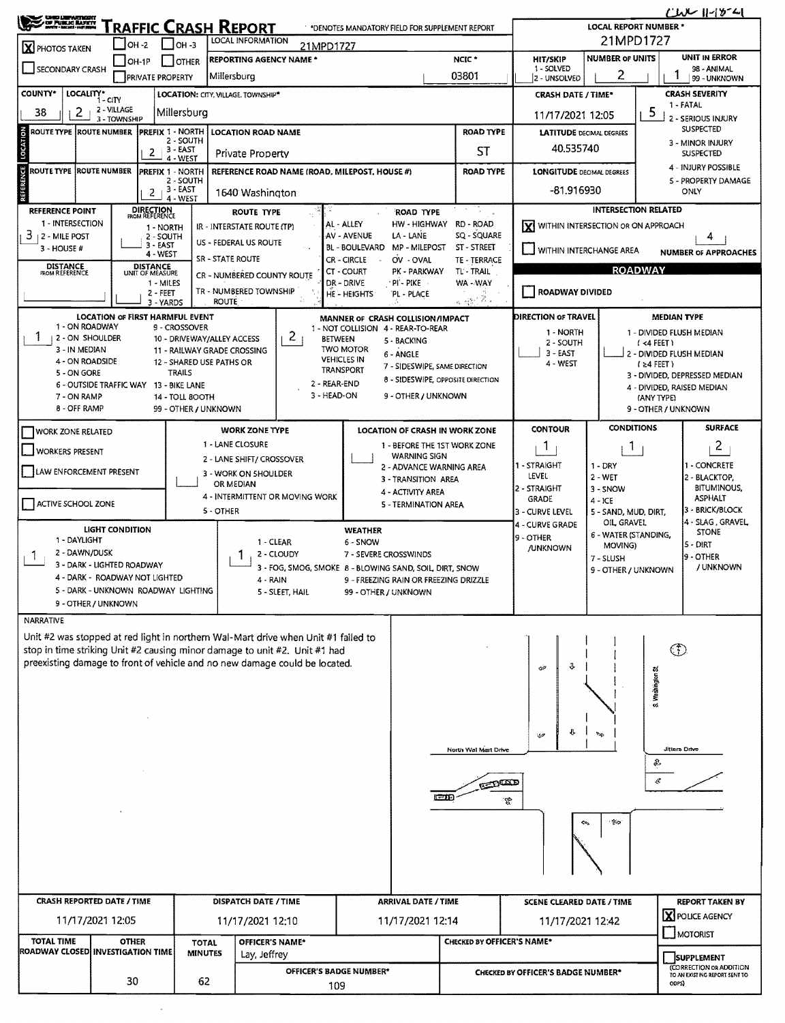| S UNED LEFARTMORE                                                                                               |                                                                                                                                |                                                         |                                                                                                                                                          | *DENOTES MANDATORY FIELD FOR SUPPLEMENT REPORT                                         |                                                            |                                                                   |                                                         | CWC 11-15-41<br><b>LOCAL REPORT NUMBER *</b> |  |  |  |  |
|-----------------------------------------------------------------------------------------------------------------|--------------------------------------------------------------------------------------------------------------------------------|---------------------------------------------------------|----------------------------------------------------------------------------------------------------------------------------------------------------------|----------------------------------------------------------------------------------------|------------------------------------------------------------|-------------------------------------------------------------------|---------------------------------------------------------|----------------------------------------------|--|--|--|--|
| <u>RAFFIC CRASH REPORT</u><br><b>LOCAL INFORMATION</b><br>$LOH - 3$<br>$IOH - 2$<br>21MPD1727<br>X PHOTOS TAKEN |                                                                                                                                |                                                         |                                                                                                                                                          |                                                                                        |                                                            |                                                                   | 21MPD1727                                               |                                              |  |  |  |  |
|                                                                                                                 | <b>REPORTING AGENCY NAME *</b><br>NCIC <sup>*</sup><br><b>I</b> IOTHER<br>$ OH-1P $<br>SECONDARY CRASH                         |                                                         |                                                                                                                                                          |                                                                                        |                                                            |                                                                   | <b>NUMBER OF UNITS</b><br><b>HIT/SKIP</b><br>1 - SOLVED |                                              |  |  |  |  |
|                                                                                                                 | 03801<br>Millersburg<br><b>PRIVATE PROPERTY</b>                                                                                |                                                         |                                                                                                                                                          |                                                                                        |                                                            | 2 - UNSOLVED                                                      | 2                                                       | 98 - ANIMAL<br>99 - UNKNOWN                  |  |  |  |  |
| COUNTY*<br>LOCALITY* CITY<br>LOCATION: CITY, VILLAGE. TOWNSHIP*                                                 |                                                                                                                                |                                                         |                                                                                                                                                          |                                                                                        |                                                            |                                                                   | <b>CRASH DATE / TIME*</b>                               | <b>CRASH SEVERITY</b><br>1 - FATAL           |  |  |  |  |
| 2<br>38                                                                                                         | 2 - VILLAGE<br>3 - TOWNSHIP                                                                                                    | Millersburg                                             | 5<br>11/17/2021 12:05<br>2 - SERIOUS INJURY                                                                                                              |                                                                                        |                                                            |                                                                   |                                                         |                                              |  |  |  |  |
| <b>ROUTE TYPE ROUTE NUMBER</b>                                                                                  | <b>PREFIX 1 - NORTH</b>                                                                                                        | <b>LOCATION ROAD NAME</b><br>2 - SOUTH                  | <b>LATITUDE</b> DECIMAL DEGREES                                                                                                                          |                                                                                        | SUSPECTED<br>3 - MINOR INJURY                              |                                                                   |                                                         |                                              |  |  |  |  |
| LOCATION                                                                                                        | 3 - EAST<br>ST<br>$\mathbf{2}$<br>Private Property<br>4 - WEST                                                                 |                                                         |                                                                                                                                                          |                                                                                        |                                                            |                                                                   |                                                         | <b>SUSPECTED</b>                             |  |  |  |  |
|                                                                                                                 | <b>ROUTE TYPE ROUTE NUMBER</b><br><b>ROAD TYPE</b><br><b>PREFIX 1 - NORTH</b><br>REFERENCE ROAD NAME (ROAD, MILEPOST, HOUSE #) |                                                         |                                                                                                                                                          |                                                                                        |                                                            |                                                                   | <b>LONGITUDE DECIMAL DEGREES</b>                        | 4 - INJURY POSSIBLE                          |  |  |  |  |
| REFERENCE                                                                                                       | 2 - SOUTH<br>$2 + \frac{3 - EAST}{2}$<br>1640 Washington                                                                       |                                                         |                                                                                                                                                          |                                                                                        |                                                            |                                                                   |                                                         | 5 - PROPERTY DAMAGE<br>ONLY                  |  |  |  |  |
| <b>REFERENCE POINT</b>                                                                                          | 4 - WEST                                                                                                                       | 10                                                      |                                                                                                                                                          |                                                                                        | <b>INTERSECTION RELATED</b>                                |                                                                   |                                                         |                                              |  |  |  |  |
| 1 - INTERSECTION                                                                                                | <b>DIRECTION</b><br>FROM REFERENCE<br>1 - NORTH                                                                                |                                                         | ROUTE TYPE<br>IR - INTERSTATE ROUTE (TP)                                                                                                                 | HW - HIGHWAY<br>AL - ALLEY                                                             | RD - ROAD                                                  | X WITHIN INTERSECTION OR ON APPROACH                              |                                                         |                                              |  |  |  |  |
| $3 + 2 -$ MILE POST<br>$3 - HOUSE #$                                                                            | 2 - SOUTH<br>3 - EAST                                                                                                          |                                                         | US - FEDERAL US ROUTE                                                                                                                                    | AV - AVENUE<br>LA - LANE<br><b>BL - BOULEVARD</b><br>MP - MILEPOST                     | SQ - SQUARE<br>ST - STREET                                 | WITHIN INTERCHANGE AREA                                           |                                                         | 4<br><b>NUMBER OF APPROACHES</b>             |  |  |  |  |
| <b>DISTANCE</b><br>FROM REFERENCE                                                                               | 4 - WEST<br><b>DISTANCE</b>                                                                                                    |                                                         | <b>SR - STATE ROUTE</b>                                                                                                                                  | <b>CR-CIRCLE</b><br>OV - OVAL<br>CT - COURT<br>PK - PARKWAY                            | TE - TERRACE<br>TL' - TRAIL                                |                                                                   |                                                         | <b>ROADWAY</b>                               |  |  |  |  |
|                                                                                                                 | UNIT OF MEASURE<br>1 - MILES                                                                                                   |                                                         | CR - NUMBERED COUNTY ROUTE                                                                                                                               | DR - DRIVE<br>· Pi' - Pike                                                             | WA - WAY                                                   |                                                                   |                                                         |                                              |  |  |  |  |
|                                                                                                                 | 2 - FEET<br>3 - YARDS                                                                                                          | <b>ROUTE</b>                                            | TR - NUMBERED TOWNSHIP                                                                                                                                   | HE - HEIGHTS<br>PL - PLACE                                                             | $_{\rm A}$ - $_{\rm 22}$ , $\rm Z$ -                       | ROADWAY DIVIDED                                                   |                                                         |                                              |  |  |  |  |
| 1 - ON ROADWAY                                                                                                  | LOCATION OF FIRST HARMFUL EVENT                                                                                                |                                                         |                                                                                                                                                          | MANNER OF CRASH COLLISION/IMPACT                                                       |                                                            | DIRECTION OF TRAVEL                                               |                                                         | <b>MEDIAN TYPE</b>                           |  |  |  |  |
| 1<br><b>12 - ON SHOULDER</b>                                                                                    |                                                                                                                                | 9 - CROSSOVER<br>10 - DRIVEWAY/ALLEY ACCESS             | 2 <sub>1</sub>                                                                                                                                           | 1 - NOT COLLISION 4 - REAR-TO-REAR<br><b>BETWEEN</b><br>5 - BACKING                    |                                                            | 1 - NORTH<br>2 - SOUTH                                            |                                                         | 1 - DIVIDED FLUSH MEDIAN<br>$(4$ FEET)       |  |  |  |  |
| 3 - IN MEDIAN<br>4 - ON ROADSIDE                                                                                |                                                                                                                                | 11 - RAILWAY GRADE CROSSING<br>12 - SHARED USE PATHS OR |                                                                                                                                                          | <b>TWO MOTOR</b><br>6 - ANGLE<br><b>VEHICLES IN</b>                                    |                                                            | $3 - EAST$<br>4 - WEST                                            |                                                         | 2 - DIVIDED FLUSH MEDIAN                     |  |  |  |  |
| 5 - ON GORE                                                                                                     |                                                                                                                                | <b>TRAILS</b>                                           |                                                                                                                                                          | 7 - SIDESWIPE, SAME DIRECTION<br><b>TRANSPORT</b><br>8 - SIDESWIPE, OPPOSITE DIRECTION |                                                            |                                                                   |                                                         | $(24$ FEET)<br>3 - DIVIDED, DEPRESSED MEDIAN |  |  |  |  |
| 7 - ON RAMP                                                                                                     | 6 - OUTSIDE TRAFFIC WAY 13 - BIKE LANE                                                                                         | 14 - TOLL BOOTH                                         | 3 - HEAD-ON                                                                                                                                              | 2 - REAR-END<br>9 - OTHER / UNKNOWN                                                    |                                                            |                                                                   |                                                         | 4 - DIVIDED, RAISED MEDIAN<br>(ANY TYPE)     |  |  |  |  |
| 8 - OFF RAMP                                                                                                    |                                                                                                                                | 99 - OTHER / UNKNOWN                                    |                                                                                                                                                          |                                                                                        |                                                            |                                                                   |                                                         | 9 - OTHER / UNKNOWN                          |  |  |  |  |
| <b>WORK ZONE RELATED</b>                                                                                        |                                                                                                                                |                                                         | <b>WORK ZONE TYPE</b>                                                                                                                                    | LOCATION OF CRASH IN WORK ZONE                                                         |                                                            | <b>CONTOUR</b>                                                    | <b>CONDITIONS</b>                                       | <b>SURFACE</b>                               |  |  |  |  |
| <b>WORKERS PRESENT</b>                                                                                          |                                                                                                                                |                                                         | 1 - LANE CLOSURE                                                                                                                                         | 1 - BEFORE THE 1ST WORK ZONE<br><b>WARNING SIGN</b>                                    |                                                            | $\mathbf{1}$                                                      | Т.                                                      | $\overline{2}$                               |  |  |  |  |
| LAW ENFORCEMENT PRESENT                                                                                         |                                                                                                                                |                                                         | 2 - LANE SHIFT/ CROSSOVER<br>3 - WORK ON SHOULDER                                                                                                        | 2 - ADVANCE WARNING AREA                                                               |                                                            | 1 - STRAIGHT                                                      | $1 - DRY$                                               | 1 - CONCRETE                                 |  |  |  |  |
|                                                                                                                 |                                                                                                                                |                                                         | OR MEDIAN                                                                                                                                                | 3 - TRANSITION AREA<br>4 - ACTIVITY AREA                                               |                                                            | LEVEL<br>2 - STRAIGHT                                             | 2 - WET<br>$3 -$ SNOW                                   | 2 - BLACKTOP,<br><b>BITUMINOUS,</b>          |  |  |  |  |
| ACTIVE SCHOOL ZONE                                                                                              |                                                                                                                                | 5 - OTHER                                               | 4 - INTERMITTENT OR MOVING WORK                                                                                                                          | 5 - TERMINATION AREA                                                                   |                                                            | <b>GRADE</b><br>3 - CURVE LEVEL                                   | $4 - ICE$<br>5 - SAND, MUD, DIRT,                       | <b>ASPHALT</b><br>3 - BRICK/BLOCK            |  |  |  |  |
|                                                                                                                 | <b>LIGHT CONDITION</b>                                                                                                         |                                                         |                                                                                                                                                          | <b>WEATHER</b>                                                                         |                                                            | 4 - SLAG, GRAVEL<br>OIL GRAVEL<br>4 - CURVE GRADE<br><b>STONE</b> |                                                         |                                              |  |  |  |  |
| 1 - DAYLIGHT                                                                                                    |                                                                                                                                |                                                         | 1 - CLEAR                                                                                                                                                | 6 - SNOW                                                                               |                                                            | 9 - OTHER<br><b>/UNKNOWN</b>                                      | 6 - WATER (STANDING,<br>MOVING)                         | S - DIRT                                     |  |  |  |  |
| 2 - DAWN/DUSK<br>$\mathbf{I}$                                                                                   | 3 - DARK - LIGHTED ROADWAY                                                                                                     |                                                         | 2 - CLOUDY                                                                                                                                               | 7 - SEVERE CROSSWINDS<br>3 - FOG, SMOG, SMOKE 8 - BLOWING SAND, SOIL, DIRT, SNOW       |                                                            |                                                                   | 7 - SLUSH<br>9 - OTHER / UNKNOWN                        | <b>I9 - OTHER</b><br>/ UNKNOWN               |  |  |  |  |
|                                                                                                                 | 4 DARK - ROADWAY NOT LIGHTED                                                                                                   |                                                         | 4 - RAIN                                                                                                                                                 | 9 - FREEZING RAIN OR FREEZING DRIZZLE                                                  |                                                            |                                                                   |                                                         |                                              |  |  |  |  |
|                                                                                                                 | 5 - DARK - UNKNOWN ROADWAY LIGHTING<br>9 - OTHER / UNKNOWN                                                                     |                                                         | 5 - SLEET, HAIL                                                                                                                                          | 99 - OTHER / UNKNOWN                                                                   |                                                            |                                                                   |                                                         |                                              |  |  |  |  |
| <b>NARRATIVE</b>                                                                                                |                                                                                                                                |                                                         |                                                                                                                                                          |                                                                                        |                                                            |                                                                   |                                                         |                                              |  |  |  |  |
|                                                                                                                 |                                                                                                                                |                                                         | Unit #2 was stopped at red light in northern Wal-Mart drive when Unit #1 failed to                                                                       |                                                                                        |                                                            |                                                                   |                                                         |                                              |  |  |  |  |
|                                                                                                                 |                                                                                                                                |                                                         | stop in time striking Unit #2 causing minor damage to unit #2. Unit #1 had<br>preexisting damage to front of vehicle and no new damage could be located. |                                                                                        |                                                            |                                                                   |                                                         | ⊕                                            |  |  |  |  |
|                                                                                                                 |                                                                                                                                |                                                         |                                                                                                                                                          |                                                                                        |                                                            | ⇩<br>فضحه                                                         |                                                         |                                              |  |  |  |  |
|                                                                                                                 |                                                                                                                                |                                                         |                                                                                                                                                          |                                                                                        |                                                            |                                                                   |                                                         | S. Washington St                             |  |  |  |  |
|                                                                                                                 |                                                                                                                                |                                                         |                                                                                                                                                          |                                                                                        |                                                            |                                                                   |                                                         |                                              |  |  |  |  |
|                                                                                                                 |                                                                                                                                |                                                         |                                                                                                                                                          |                                                                                        |                                                            | J<br>ھين                                                          | É                                                       |                                              |  |  |  |  |
|                                                                                                                 |                                                                                                                                |                                                         |                                                                                                                                                          |                                                                                        | North Wal Mart Drive                                       |                                                                   |                                                         | Jitters Drive                                |  |  |  |  |
|                                                                                                                 |                                                                                                                                |                                                         |                                                                                                                                                          |                                                                                        |                                                            |                                                                   |                                                         | €                                            |  |  |  |  |
|                                                                                                                 |                                                                                                                                |                                                         |                                                                                                                                                          | cm                                                                                     | <b>REDUCED</b>                                             |                                                                   |                                                         | ¢                                            |  |  |  |  |
|                                                                                                                 |                                                                                                                                |                                                         |                                                                                                                                                          |                                                                                        | ۳P                                                         |                                                                   |                                                         |                                              |  |  |  |  |
|                                                                                                                 |                                                                                                                                |                                                         |                                                                                                                                                          |                                                                                        |                                                            |                                                                   | าใ≐ะ<br>ক                                               |                                              |  |  |  |  |
|                                                                                                                 |                                                                                                                                |                                                         |                                                                                                                                                          |                                                                                        |                                                            |                                                                   |                                                         |                                              |  |  |  |  |
|                                                                                                                 |                                                                                                                                |                                                         |                                                                                                                                                          |                                                                                        |                                                            |                                                                   |                                                         |                                              |  |  |  |  |
|                                                                                                                 |                                                                                                                                |                                                         |                                                                                                                                                          |                                                                                        |                                                            |                                                                   |                                                         |                                              |  |  |  |  |
| <b>CRASH REPORTED DATE / TIME</b>                                                                               |                                                                                                                                |                                                         | DISPATCH DATE / TIME                                                                                                                                     | <b>ARRIVAL DATE / TIME</b>                                                             | <b>SCENE CLEARED DATE / TIME</b><br><b>REPORT TAKEN BY</b> |                                                                   |                                                         |                                              |  |  |  |  |
|                                                                                                                 | 11/17/2021 12:05                                                                                                               |                                                         | 11/17/2021 12:10                                                                                                                                         | 11/17/2021 12:14                                                                       |                                                            | <b>X</b> POLICE AGENCY<br>11/17/2021 12:42<br>MOTORIST            |                                                         |                                              |  |  |  |  |
| <b>TOTAL TIME</b>                                                                                               | <b>OTHER</b><br>ROADWAY CLOSED  INVESTIGATION TIME                                                                             | <b>TOTAL</b><br><b>MINUTES</b>                          | OFFICER'S NAME*                                                                                                                                          |                                                                                        | CHECKED BY OFFICER'S NAME*                                 |                                                                   |                                                         |                                              |  |  |  |  |
|                                                                                                                 |                                                                                                                                |                                                         | Lay, Jeffrey                                                                                                                                             | OFFICER'S BADGE NUMBER*                                                                | <b>SUPPLEMENT</b><br>(CORRECTION OR ADDITION               |                                                                   |                                                         |                                              |  |  |  |  |
|                                                                                                                 | 30                                                                                                                             | 62                                                      |                                                                                                                                                          | 109                                                                                    | <b>CHECKED BY OFFICER'S BADGE NUMBER*</b>                  |                                                                   |                                                         | TO AN EXISTING REPORT SENT TO<br>ODPS)       |  |  |  |  |
|                                                                                                                 |                                                                                                                                |                                                         |                                                                                                                                                          |                                                                                        |                                                            |                                                                   |                                                         |                                              |  |  |  |  |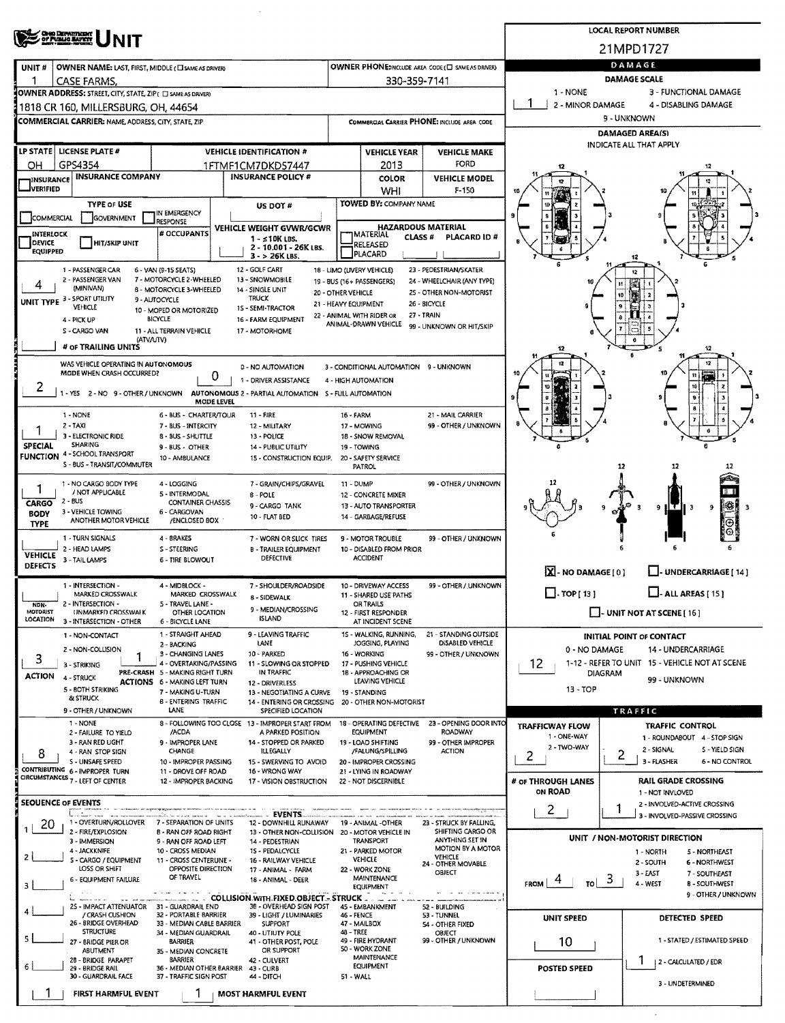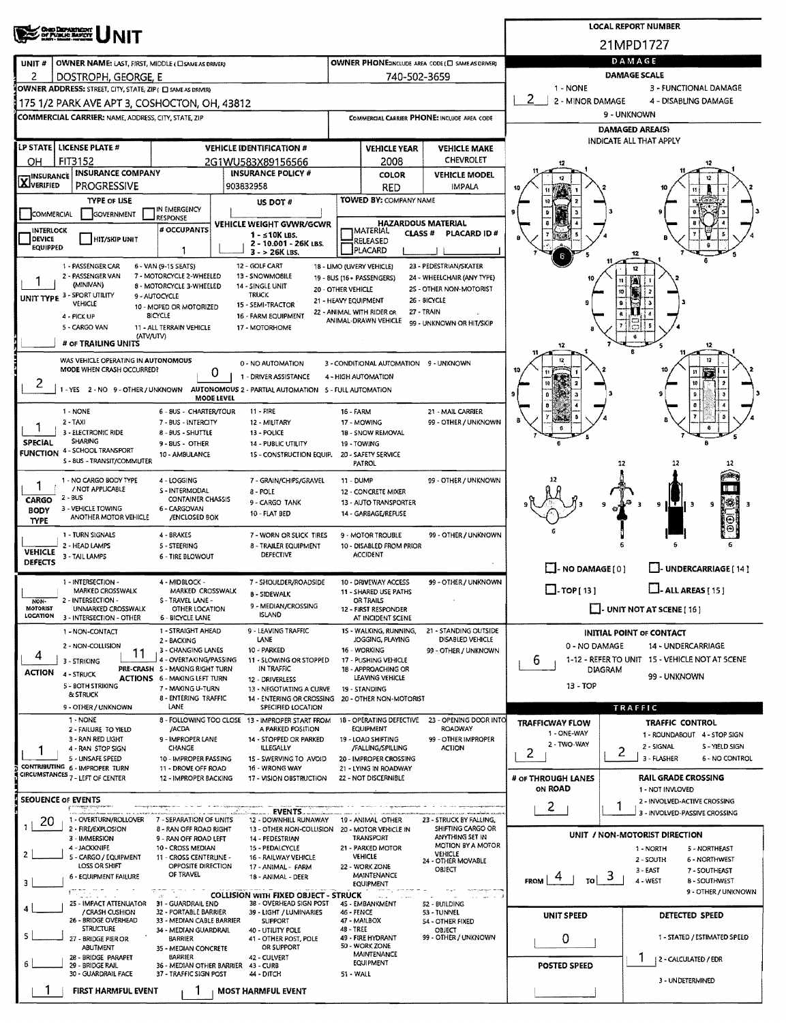|                                                                                                                                                                                                                                                                                                                                                                                                                                                                                                                                                                                                                                                                                                                                                                                                                                                                                                                                                                                                                                                                                                                                                                                                                                                                                                                                                                                                       | <b>LOCAL REPORT NUMBER</b>                                                                                                                                                                                                                                                                                                                                                                                                                                                                                                                                                                                                                                                                                                                                                                                                                                                                                                                                                                                                                                                                                                                                                                                                                                                                                                                                                                                                                                                                                                                                                                                                                                                                                                                                                                                                                                                                                                                                                                                                                                                                                                                                                                                                                                                                                                                                                                                                                                                                                                                                                                                                                                                                                                                                                                                                                                                                                                                                                                                                                                                                                                                                                                                                                                                                                                                                                                                                                                                                                                                                                                                                                                                                                                                                                                                                                                                                                                                                                                                                                                                                                                                                                                                                                                                                                                                                                                                                                                                                                                                                                                                                                                                                                                                                                                                                                                                                                                                                                                                                                                                                                                                                                                                                                                                                                                                                                                                                                                                                                                                                                                                                                                                                                                                                                                                                                                                                                                                                                                                                                                                                                                                                                                                                                                                                                                                                                                                                                                                                                                                                                                                                                                                                                                                                                                                                                                                                                                                                                                       |                                                    |     |               |             |                      |  |  |  |  |
|-------------------------------------------------------------------------------------------------------------------------------------------------------------------------------------------------------------------------------------------------------------------------------------------------------------------------------------------------------------------------------------------------------------------------------------------------------------------------------------------------------------------------------------------------------------------------------------------------------------------------------------------------------------------------------------------------------------------------------------------------------------------------------------------------------------------------------------------------------------------------------------------------------------------------------------------------------------------------------------------------------------------------------------------------------------------------------------------------------------------------------------------------------------------------------------------------------------------------------------------------------------------------------------------------------------------------------------------------------------------------------------------------------|--------------------------------------------------------------------------------------------------------------------------------------------------------------------------------------------------------------------------------------------------------------------------------------------------------------------------------------------------------------------------------------------------------------------------------------------------------------------------------------------------------------------------------------------------------------------------------------------------------------------------------------------------------------------------------------------------------------------------------------------------------------------------------------------------------------------------------------------------------------------------------------------------------------------------------------------------------------------------------------------------------------------------------------------------------------------------------------------------------------------------------------------------------------------------------------------------------------------------------------------------------------------------------------------------------------------------------------------------------------------------------------------------------------------------------------------------------------------------------------------------------------------------------------------------------------------------------------------------------------------------------------------------------------------------------------------------------------------------------------------------------------------------------------------------------------------------------------------------------------------------------------------------------------------------------------------------------------------------------------------------------------------------------------------------------------------------------------------------------------------------------------------------------------------------------------------------------------------------------------------------------------------------------------------------------------------------------------------------------------------------------------------------------------------------------------------------------------------------------------------------------------------------------------------------------------------------------------------------------------------------------------------------------------------------------------------------------------------------------------------------------------------------------------------------------------------------------------------------------------------------------------------------------------------------------------------------------------------------------------------------------------------------------------------------------------------------------------------------------------------------------------------------------------------------------------------------------------------------------------------------------------------------------------------------------------------------------------------------------------------------------------------------------------------------------------------------------------------------------------------------------------------------------------------------------------------------------------------------------------------------------------------------------------------------------------------------------------------------------------------------------------------------------------------------------------------------------------------------------------------------------------------------------------------------------------------------------------------------------------------------------------------------------------------------------------------------------------------------------------------------------------------------------------------------------------------------------------------------------------------------------------------------------------------------------------------------------------------------------------------------------------------------------------------------------------------------------------------------------------------------------------------------------------------------------------------------------------------------------------------------------------------------------------------------------------------------------------------------------------------------------------------------------------------------------------------------------------------------------------------------------------------------------------------------------------------------------------------------------------------------------------------------------------------------------------------------------------------------------------------------------------------------------------------------------------------------------------------------------------------------------------------------------------------------------------------------------------------------------------------------------------------------------------------------------------------------------------------------------------------------------------------------------------------------------------------------------------------------------------------------------------------------------------------------------------------------------------------------------------------------------------------------------------------------------------------------------------------------------------------------------------------------------------------------------------------------------------------------------------------------------------------------------------------------------------------------------------------------------------------------------------------------------------------------------------------------------------------------------------------------------------------------------------------------------------------------------------------------------------------------------------------------------------------------------------------------------------------------------------------------------------------------------------------------------------------------------------------------------------------------------------------------------------------------------------------------------------------------------------------------------------------------------------------------------------------------------------------------------------------------------------------------------------------------------------------------------------------------------------------------|----------------------------------------------------|-----|---------------|-------------|----------------------|--|--|--|--|
|                                                                                                                                                                                                                                                                                                                                                                                                                                                                                                                                                                                                                                                                                                                                                                                                                                                                                                                                                                                                                                                                                                                                                                                                                                                                                                                                                                                                       |                                                                                                                                                                                                                                                                                                                                                                                                                                                                                                                                                                                                                                                                                                                                                                                                                                                                                                                                                                                                                                                                                                                                                                                                                                                                                                                                                                                                                                                                                                                                                                                                                                                                                                                                                                                                                                                                                                                                                                                                                                                                                                                                                                                                                                                                                                                                                                                                                                                                                                                                                                                                                                                                                                                                                                                                                                                                                                                                                                                                                                                                                                                                                                                                                                                                                                                                                                                                                                                                                                                                                                                                                                                                                                                                                                                                                                                                                                                                                                                                                                                                                                                                                                                                                                                                                                                                                                                                                                                                                                                                                                                                                                                                                                                                                                                                                                                                                                                                                                                                                                                                                                                                                                                                                                                                                                                                                                                                                                                                                                                                                                                                                                                                                                                                                                                                                                                                                                                                                                                                                                                                                                                                                                                                                                                                                                                                                                                                                                                                                                                                                                                                                                                                                                                                                                                                                                                                                                                                                                                                  |                                                    |     |               |             |                      |  |  |  |  |
| UNIT#                                                                                                                                                                                                                                                                                                                                                                                                                                                                                                                                                                                                                                                                                                                                                                                                                                                                                                                                                                                                                                                                                                                                                                                                                                                                                                                                                                                                 |                                                                                                                                                                                                                                                                                                                                                                                                                                                                                                                                                                                                                                                                                                                                                                                                                                                                                                                                                                                                                                                                                                                                                                                                                                                                                                                                                                                                                                                                                                                                                                                                                                                                                                                                                                                                                                                                                                                                                                                                                                                                                                                                                                                                                                                                                                                                                                                                                                                                                                                                                                                                                                                                                                                                                                                                                                                                                                                                                                                                                                                                                                                                                                                                                                                                                                                                                                                                                                                                                                                                                                                                                                                                                                                                                                                                                                                                                                                                                                                                                                                                                                                                                                                                                                                                                                                                                                                                                                                                                                                                                                                                                                                                                                                                                                                                                                                                                                                                                                                                                                                                                                                                                                                                                                                                                                                                                                                                                                                                                                                                                                                                                                                                                                                                                                                                                                                                                                                                                                                                                                                                                                                                                                                                                                                                                                                                                                                                                                                                                                                                                                                                                                                                                                                                                                                                                                                                                                                                                                                                  | OWNER PHONE: INCLUDE AREA CODE (E) SAME AS DRIVERY |     |               | DAMAGE      |                      |  |  |  |  |
| DOSTROPH, GEORGE, E                                                                                                                                                                                                                                                                                                                                                                                                                                                                                                                                                                                                                                                                                                                                                                                                                                                                                                                                                                                                                                                                                                                                                                                                                                                                                                                                                                                   |                                                                                                                                                                                                                                                                                                                                                                                                                                                                                                                                                                                                                                                                                                                                                                                                                                                                                                                                                                                                                                                                                                                                                                                                                                                                                                                                                                                                                                                                                                                                                                                                                                                                                                                                                                                                                                                                                                                                                                                                                                                                                                                                                                                                                                                                                                                                                                                                                                                                                                                                                                                                                                                                                                                                                                                                                                                                                                                                                                                                                                                                                                                                                                                                                                                                                                                                                                                                                                                                                                                                                                                                                                                                                                                                                                                                                                                                                                                                                                                                                                                                                                                                                                                                                                                                                                                                                                                                                                                                                                                                                                                                                                                                                                                                                                                                                                                                                                                                                                                                                                                                                                                                                                                                                                                                                                                                                                                                                                                                                                                                                                                                                                                                                                                                                                                                                                                                                                                                                                                                                                                                                                                                                                                                                                                                                                                                                                                                                                                                                                                                                                                                                                                                                                                                                                                                                                                                                                                                                                                                  |                                                    |     |               | 1 - NONE    |                      |  |  |  |  |
|                                                                                                                                                                                                                                                                                                                                                                                                                                                                                                                                                                                                                                                                                                                                                                                                                                                                                                                                                                                                                                                                                                                                                                                                                                                                                                                                                                                                       |                                                                                                                                                                                                                                                                                                                                                                                                                                                                                                                                                                                                                                                                                                                                                                                                                                                                                                                                                                                                                                                                                                                                                                                                                                                                                                                                                                                                                                                                                                                                                                                                                                                                                                                                                                                                                                                                                                                                                                                                                                                                                                                                                                                                                                                                                                                                                                                                                                                                                                                                                                                                                                                                                                                                                                                                                                                                                                                                                                                                                                                                                                                                                                                                                                                                                                                                                                                                                                                                                                                                                                                                                                                                                                                                                                                                                                                                                                                                                                                                                                                                                                                                                                                                                                                                                                                                                                                                                                                                                                                                                                                                                                                                                                                                                                                                                                                                                                                                                                                                                                                                                                                                                                                                                                                                                                                                                                                                                                                                                                                                                                                                                                                                                                                                                                                                                                                                                                                                                                                                                                                                                                                                                                                                                                                                                                                                                                                                                                                                                                                                                                                                                                                                                                                                                                                                                                                                                                                                                                                                  |                                                    |     |               | 2           | 4 - DISABLING DAMAGE |  |  |  |  |
|                                                                                                                                                                                                                                                                                                                                                                                                                                                                                                                                                                                                                                                                                                                                                                                                                                                                                                                                                                                                                                                                                                                                                                                                                                                                                                                                                                                                       |                                                                                                                                                                                                                                                                                                                                                                                                                                                                                                                                                                                                                                                                                                                                                                                                                                                                                                                                                                                                                                                                                                                                                                                                                                                                                                                                                                                                                                                                                                                                                                                                                                                                                                                                                                                                                                                                                                                                                                                                                                                                                                                                                                                                                                                                                                                                                                                                                                                                                                                                                                                                                                                                                                                                                                                                                                                                                                                                                                                                                                                                                                                                                                                                                                                                                                                                                                                                                                                                                                                                                                                                                                                                                                                                                                                                                                                                                                                                                                                                                                                                                                                                                                                                                                                                                                                                                                                                                                                                                                                                                                                                                                                                                                                                                                                                                                                                                                                                                                                                                                                                                                                                                                                                                                                                                                                                                                                                                                                                                                                                                                                                                                                                                                                                                                                                                                                                                                                                                                                                                                                                                                                                                                                                                                                                                                                                                                                                                                                                                                                                                                                                                                                                                                                                                                                                                                                                                                                                                                                                  |                                                    |     |               | 9 - UNKNOWN |                      |  |  |  |  |
|                                                                                                                                                                                                                                                                                                                                                                                                                                                                                                                                                                                                                                                                                                                                                                                                                                                                                                                                                                                                                                                                                                                                                                                                                                                                                                                                                                                                       |                                                                                                                                                                                                                                                                                                                                                                                                                                                                                                                                                                                                                                                                                                                                                                                                                                                                                                                                                                                                                                                                                                                                                                                                                                                                                                                                                                                                                                                                                                                                                                                                                                                                                                                                                                                                                                                                                                                                                                                                                                                                                                                                                                                                                                                                                                                                                                                                                                                                                                                                                                                                                                                                                                                                                                                                                                                                                                                                                                                                                                                                                                                                                                                                                                                                                                                                                                                                                                                                                                                                                                                                                                                                                                                                                                                                                                                                                                                                                                                                                                                                                                                                                                                                                                                                                                                                                                                                                                                                                                                                                                                                                                                                                                                                                                                                                                                                                                                                                                                                                                                                                                                                                                                                                                                                                                                                                                                                                                                                                                                                                                                                                                                                                                                                                                                                                                                                                                                                                                                                                                                                                                                                                                                                                                                                                                                                                                                                                                                                                                                                                                                                                                                                                                                                                                                                                                                                                                                                                                                                  |                                                    |     |               |             |                      |  |  |  |  |
| LP STATE   LICENSE PLATE #                                                                                                                                                                                                                                                                                                                                                                                                                                                                                                                                                                                                                                                                                                                                                                                                                                                                                                                                                                                                                                                                                                                                                                                                                                                                                                                                                                            | <b>VEHICLE IDENTIFICATION #</b>                                                                                                                                                                                                                                                                                                                                                                                                                                                                                                                                                                                                                                                                                                                                                                                                                                                                                                                                                                                                                                                                                                                                                                                                                                                                                                                                                                                                                                                                                                                                                                                                                                                                                                                                                                                                                                                                                                                                                                                                                                                                                                                                                                                                                                                                                                                                                                                                                                                                                                                                                                                                                                                                                                                                                                                                                                                                                                                                                                                                                                                                                                                                                                                                                                                                                                                                                                                                                                                                                                                                                                                                                                                                                                                                                                                                                                                                                                                                                                                                                                                                                                                                                                                                                                                                                                                                                                                                                                                                                                                                                                                                                                                                                                                                                                                                                                                                                                                                                                                                                                                                                                                                                                                                                                                                                                                                                                                                                                                                                                                                                                                                                                                                                                                                                                                                                                                                                                                                                                                                                                                                                                                                                                                                                                                                                                                                                                                                                                                                                                                                                                                                                                                                                                                                                                                                                                                                                                                                                                  | <b>VEHICLE YEAR</b><br><b>VEHICLE MAKE</b>         |     |               |             |                      |  |  |  |  |
| <b>INSURANCE COMPANY</b>                                                                                                                                                                                                                                                                                                                                                                                                                                                                                                                                                                                                                                                                                                                                                                                                                                                                                                                                                                                                                                                                                                                                                                                                                                                                                                                                                                              | <b>INSURANCE POLICY #</b>                                                                                                                                                                                                                                                                                                                                                                                                                                                                                                                                                                                                                                                                                                                                                                                                                                                                                                                                                                                                                                                                                                                                                                                                                                                                                                                                                                                                                                                                                                                                                                                                                                                                                                                                                                                                                                                                                                                                                                                                                                                                                                                                                                                                                                                                                                                                                                                                                                                                                                                                                                                                                                                                                                                                                                                                                                                                                                                                                                                                                                                                                                                                                                                                                                                                                                                                                                                                                                                                                                                                                                                                                                                                                                                                                                                                                                                                                                                                                                                                                                                                                                                                                                                                                                                                                                                                                                                                                                                                                                                                                                                                                                                                                                                                                                                                                                                                                                                                                                                                                                                                                                                                                                                                                                                                                                                                                                                                                                                                                                                                                                                                                                                                                                                                                                                                                                                                                                                                                                                                                                                                                                                                                                                                                                                                                                                                                                                                                                                                                                                                                                                                                                                                                                                                                                                                                                                                                                                                                                        |                                                    |     |               |             |                      |  |  |  |  |
| <b>PROGRESSIVE</b>                                                                                                                                                                                                                                                                                                                                                                                                                                                                                                                                                                                                                                                                                                                                                                                                                                                                                                                                                                                                                                                                                                                                                                                                                                                                                                                                                                                    | 903832958                                                                                                                                                                                                                                                                                                                                                                                                                                                                                                                                                                                                                                                                                                                                                                                                                                                                                                                                                                                                                                                                                                                                                                                                                                                                                                                                                                                                                                                                                                                                                                                                                                                                                                                                                                                                                                                                                                                                                                                                                                                                                                                                                                                                                                                                                                                                                                                                                                                                                                                                                                                                                                                                                                                                                                                                                                                                                                                                                                                                                                                                                                                                                                                                                                                                                                                                                                                                                                                                                                                                                                                                                                                                                                                                                                                                                                                                                                                                                                                                                                                                                                                                                                                                                                                                                                                                                                                                                                                                                                                                                                                                                                                                                                                                                                                                                                                                                                                                                                                                                                                                                                                                                                                                                                                                                                                                                                                                                                                                                                                                                                                                                                                                                                                                                                                                                                                                                                                                                                                                                                                                                                                                                                                                                                                                                                                                                                                                                                                                                                                                                                                                                                                                                                                                                                                                                                                                                                                                                                                        |                                                    | RED | <b>IMPALA</b> |             |                      |  |  |  |  |
|                                                                                                                                                                                                                                                                                                                                                                                                                                                                                                                                                                                                                                                                                                                                                                                                                                                                                                                                                                                                                                                                                                                                                                                                                                                                                                                                                                                                       | US DOT #                                                                                                                                                                                                                                                                                                                                                                                                                                                                                                                                                                                                                                                                                                                                                                                                                                                                                                                                                                                                                                                                                                                                                                                                                                                                                                                                                                                                                                                                                                                                                                                                                                                                                                                                                                                                                                                                                                                                                                                                                                                                                                                                                                                                                                                                                                                                                                                                                                                                                                                                                                                                                                                                                                                                                                                                                                                                                                                                                                                                                                                                                                                                                                                                                                                                                                                                                                                                                                                                                                                                                                                                                                                                                                                                                                                                                                                                                                                                                                                                                                                                                                                                                                                                                                                                                                                                                                                                                                                                                                                                                                                                                                                                                                                                                                                                                                                                                                                                                                                                                                                                                                                                                                                                                                                                                                                                                                                                                                                                                                                                                                                                                                                                                                                                                                                                                                                                                                                                                                                                                                                                                                                                                                                                                                                                                                                                                                                                                                                                                                                                                                                                                                                                                                                                                                                                                                                                                                                                                                                         |                                                    |     |               |             |                      |  |  |  |  |
| INTERLOCK                                                                                                                                                                                                                                                                                                                                                                                                                                                                                                                                                                                                                                                                                                                                                                                                                                                                                                                                                                                                                                                                                                                                                                                                                                                                                                                                                                                             | 21MPD1727<br><b>DAMAGE SCALE</b><br>740-502-3659<br>3 - FUNCTIONAL DAMAGE<br>2 - MINOR DAMAGE<br>COMMERCIAL CARRIER PHONE: INCLUDE AREA CODE<br><b>DAMAGED AREA(S)</b><br>INDICATE ALL THAT APPLY<br><b>CHEVROLET</b><br>2008<br>2G1WU583X89156566<br>17<br><b>COLOR</b><br><b>VEHICLE MODEL</b><br>TOWED BY: COMPANY NAME<br><b>TYPE OF USE</b><br>IN EMERGENCY<br><b>GOVERNMENT</b><br><b>RESPONSE</b><br><b>HAZARDOUS MATERIAL</b><br>VEHICLE WEIGHT GVWR/GCWR<br># OCCUPANTS<br><b>IMATERIAL</b><br><b>CLASS#</b><br>PLACARD ID#<br>1 - ≤ 10K LBS.<br><b>HIT/SKIP UNIT</b><br>RELEASED<br>2 - 10.001 - 26K LBS.<br><b>PLACARD</b><br>T<br>$3 - 26K$ LBS.<br>6 - VAN (9-15 SEATS)<br>12 - GOLF CART<br>18 - LIMO (UVERY VEHICLE)<br>23 - PEDESTRIAN/SKATER<br>7 - MOTORCYCLE 2-WHEELED<br>13 - SNOWMOBILE<br>24 - WHEELCHAIR (ANY TYPE)<br>19 - 8US (16 + PASSENGERS)<br>11<br>FAY<br>(MINIVAN)<br>8 - MOTORCYCLE 3-WHEELED<br>14 - SINGLE UNIT<br>25 - OTHER NON-MOTORIST<br>20 - OTHER VEHICLE<br>10<br><b>TRUCK</b><br>9 - AUTOCYCLE<br>26 - BICYCLE<br>21 - HEAVY EQUIPMENT<br>VEHICLE<br>15 - SEMI-TRACTOR<br>10 - MOPED OR MOTORIZED<br>22 - ANIMAL WITH RIDER OR<br>27 - TRAIN<br><b>BICYCLE</b><br>16 - FARM EQUIPMENT<br>ANIMAL-DRAWN VEHICLE<br>99 - UNKNOWN OR HIT/SKIP<br>11 - ALL TERRAIN VEHICLE<br>17 - MOTORHOME<br>(ATV/UTV)<br>12<br>12<br>0 - NO AUTOMATION<br>3 - CONDITIONAL AUTOMATION 9 - UNKNOWN<br>0<br>1 - DRIVER ASSISTANCE<br>4 - HIGH AUTOMATION<br>AUTONOMOUS 2 - PARTIAL AUTOMATION 5 - FULL AUTOMATION<br><b>MODE LEVEL</b><br>11 - FIRE<br>6 - 8US - CHARTER/TOUR<br>21 - MAIL CARRIER<br>16 - FARM<br>99 - OTHER / UNKNOWN<br>7 - BUS - INTERCITY<br>12 - MILITARY<br>17 - MOWING<br><b>8 - BUS - SHUTTLE</b><br>13 - POLICE<br>18 - SNOW REMOVAL<br>SHARING<br>9-BUS OTHER<br>14 - PUBLIC UTILITY<br>19 - TOWING<br>10 - AMBULANCE<br>15 - CONSTRUCTION EQUIP.<br>20 - SAFETY SERVICE<br>PATROL<br>12<br>4 - LOGGING<br>7 - GRAIN/CHIPS/GRAVEL<br>99 - OTHER / UNKNOWN<br>11 - DUMP<br>/ NOT APPLICABLE<br>S - INTERMODAL<br>8 - POLE<br>12 - CONCRETE MIXER<br><b>CONTAINER CHASSIS</b><br>IS.<br>9 - CARGO TANK<br>13 - AUTO TRANSPORTER<br>9<br>9<br>э<br>6 - CARGOVAN<br>10 - FLAT BED<br>14 - GARBAGE/REFUSE<br>ANOTHER MOTOR VEHICLE<br><b>/ENCLOSED BOX</b><br>4 - BRAKES<br>7 - WORN OR SLICK TIRES<br>9 - MOTOR TROUBLE<br>99 - OTHER / UNKNOWN<br>5 - STEERING<br>8 - TRAILER EQUIPMENT<br>10 - DISABLED FROM PRIOR<br><b>ACCIDENT</b><br>DEFECTIVE<br><b>6 - TIRE BLOWOUT</b><br>$\Box$ - NO DAMAGE [ 0 ]<br>UNDERCARRIAGE [ 14 ]<br>4 - MIDBLOCK -<br>7 - SHOULDER/ROADSIDE<br>10 - DRIVEWAY ACCESS<br>99 - OTHER / UNKNOWN<br>$\Box$ - ALL AREAS [ 15 ]<br>$\Box$ -TOP[13]<br>MARKED CROSSWALK<br>MARKED CROSSWALK<br>11 - SHARED USE PATHS<br>8 - SIDEWALK<br>S - TRAVEL LANE -<br>OR TRAILS<br>9 - MEDIAN/CROSSING<br>$\Box$ UNIT NOT AT SCENE [16]<br>UNMARKED CROSSWALK<br>OTHER LOCATION<br>12 - FIRST RESPONDER<br><b>ISLAND</b><br><b>6 - BICYCLE LANE</b><br>AT INCIDENT SCENE<br>1 - STRAIGHT AHEAD<br>9 - LEAVING TRAFFIC<br>15 - WALKING, RUNNING,<br>21 - STANDING OUTSIDE<br><b>INITIAL POINT OF CONTACT</b><br>DISABLED VEHICLE<br>LANE<br>JOGGING, PLAYING<br>2 - BACKING<br>0 - NO DAMAGE<br>14 - UNDERCARRIAGE<br>10 - PARKED<br>3 - CHANGING LANES<br>16 - WORKING<br>99 - OTHER / UNKNOWN<br>11<br>1-12 - REFER TO UNIT 15 - VEHICLE NOT AT 5CENE<br>4 - OVERTAKING/PASSING<br>11 - SLOWING OR STOPPED<br>b<br>17 - PUSHING VEHICLE<br>PRE-CRASH S - MAKING RIGHT TURN<br>IN TRAFFIC<br>18 - APPROACHING OR<br>DIAGRAM<br>99 - UNKNOWN<br><b>ACTIONS 6 - MAKING LEFT TURN</b><br>LEAVING VEHICLE<br>12 - DRIVERLESS<br>$13 - TOP$<br>7 - MAKING U-TURN<br>13 - NEGOTIATING A CURVE<br>19 - STANDING<br>& STRUCK<br>8 - ENTERING TRAFFIC<br>14 - ENTERING OR CROSSING<br>20 - OTHER NON-MOTORIST<br>LANE<br>SPECIFIED LOCATION<br><b>TRAFFIC</b><br>1 - NONE<br>8 - FOLLOWING TOO CLOSE 13 - IMPROPER START FROM<br>18 - OPERATING DEFECTIVE<br>23 - OPENING DOOR INTO<br><b>TRAFFICWAY FLOW</b><br>TRAFFIC CONTROL<br>/ACDA<br>A PARKED POSITION<br>EQUIPMENT<br><b>ROADWAY</b><br>2 - FAILURE TO YIELD<br>1 - ONE-WAY<br>1 - ROUNDABOUT 4 - STOP SIGN<br>3 - RAN RED LIGHT<br>9 - IMPROPER LANE<br>14 - STOPPED OR PARKED<br>99 - OTHER IMPROPER<br>19 - LOAD SHIFTING<br>2 - TWO-WAY<br>2 - SIGNAL<br>S - YIELD SIGN<br>CHANGE<br><b>ILLEGALLY</b><br><b>ACTION</b><br>4 - RAN STOP SIGN<br>/FALLING/SPILLING<br>2<br>2<br>3 - FLASHER<br>6 - NO CONTROL<br>5 - UNSAFE SPEED<br>10 - IMPROPER PASSING<br>15 - SWERVING TO AVOID<br>20 - IMPROPER CROSSING<br>11 - DROVE OFF ROAD<br>16 - WRONG WAY<br>21 - LYING IN ROADWAY<br><b>RAIL GRADE CROSSING</b><br>12 - IMPROPER BACKING<br>22 - NOT DISCERNIBLE<br># OF THROUGH LANES<br>17 - VISION OBSTRUCTION<br>ON ROAD<br>1 - NOT INVLOVED<br>2 - INVOLVED-ACTIVE CROSSING<br>2<br><u>osakilise landes</u><br>EVENTS<br>3 - INVOLVED-PASSIVE CROSSING<br>1 - OVERTURN/ROLLOVER<br>7 - SEPARATION OF UNITS<br>12 - DOWNHILL RUNAWAY<br>19 - ANIMAL -OTHER<br>23 - STRUCK BY FALLING,<br>SHIFTING CARGO OR<br>2 - FIRE/EXPLOSION<br>8 - RAN OFF ROAD RIGHT<br>13 - OTHER NON-COLLISION<br>20 - MOTOR VEHICLE IN<br>UNIT / NON-MOTORIST DIRECTION<br>ANYTHING SET IN<br>TRANSPORT<br>3 - IMMERSION<br>9 - RAN OFF ROAD LEFT<br>14 - PEDESTRIAN<br>MOTION BY A MOTOR<br>4 - JACKKNIFE<br>10 - CROSS MEDIAN<br>21 - PARKED MOTOR<br>15 - PEDALCYCLE<br>1 - NORTH<br>5 - NORTHEAST<br>VEHICLE<br>VEHICLE<br>5 - CARGO / EQUIPMENT<br>11 - CROSS CENTERLINE -<br>16 - RAILWAY VEHICLE<br>2 - SOUTH<br>6 - NORTHWEST<br>24 - OTHER MOVABLE<br>LOSS OR SHIFT<br>OPPOSITE DIRECTION<br>17 - ANIMAL - FARM<br>22 - WORK ZONE<br>OBJECT<br>3 - EAST<br>7 - SOUTHEAST<br>OF TRAVEL<br>MAINTENANCE<br><b>6 - EQUIPMENT FAILURE</b><br>18 - ANIMAL - DEER<br>-5<br><b>FROM</b><br>4 - WEST<br>TO<br><b>B-SOUTHWEST</b><br><b>EQUIPMENT</b><br>$\partial\mathcal{H}=\mathbf{H}$<br>9 - OTHER / UNKNOWN<br><b>COLLISION WITH FIXED OBJECT - STRUCK</b><br><b>AMERICA</b><br>المنام المناقب<br>25 - IMPACT ATTENUATOR<br>31 - GUARDRAIL END<br>38 - OVERHEAD SIGN POST<br>45 - EMBANKMENT<br>52 - BUILDING<br>/ CRASH CUSHION<br>32 - PORTABLE BARRIER<br>46 - FENCE<br>39 - LIGHT / LUMINARIES<br>53 - TUNNEL<br>UNIT SPEED<br>DETECTED SPEED<br>26 - BRIDGE OVERHEAD<br>33 - MEDIAN CABLE BARRIER<br><b>SUPPORT</b><br>47 - MAILBOX<br>54 - OTHER FIXED<br><b>STRUCTURE</b><br>48 - TREE<br>34 - MEDIAN GUARDRAIL<br>40 - UTILITY POLE<br>OBJECT<br>1 - STATED / ESTIMATED SPEED<br>49 - FIRE HYDRANT<br>99 - OTHER / UNKNOWN<br>0<br>27 - BRIDGE PIER OR<br><b>BARRIER</b><br>41 - OTHER POST, POLE<br>50 - WORK ZONE<br>OR SUPPORT<br><b>ABUTMENT</b><br>35 - MEDIAN CONCRETE<br><b>MAINTENANCE</b><br><b>BARRIER</b><br>28 - BRIDGE PARAPET<br>42 - CULVERT<br>2 - CALCULATED / EDR<br>EQUIPMENT<br>36 - MEDIAN OTHER BARRIER<br><b>POSTED SPEED</b><br>29 - BRIDGE RAIL<br>43 - CURB |                                                    |     |               |             |                      |  |  |  |  |
| DEVICE<br><b>EQUIPPED</b>                                                                                                                                                                                                                                                                                                                                                                                                                                                                                                                                                                                                                                                                                                                                                                                                                                                                                                                                                                                                                                                                                                                                                                                                                                                                                                                                                                             |                                                                                                                                                                                                                                                                                                                                                                                                                                                                                                                                                                                                                                                                                                                                                                                                                                                                                                                                                                                                                                                                                                                                                                                                                                                                                                                                                                                                                                                                                                                                                                                                                                                                                                                                                                                                                                                                                                                                                                                                                                                                                                                                                                                                                                                                                                                                                                                                                                                                                                                                                                                                                                                                                                                                                                                                                                                                                                                                                                                                                                                                                                                                                                                                                                                                                                                                                                                                                                                                                                                                                                                                                                                                                                                                                                                                                                                                                                                                                                                                                                                                                                                                                                                                                                                                                                                                                                                                                                                                                                                                                                                                                                                                                                                                                                                                                                                                                                                                                                                                                                                                                                                                                                                                                                                                                                                                                                                                                                                                                                                                                                                                                                                                                                                                                                                                                                                                                                                                                                                                                                                                                                                                                                                                                                                                                                                                                                                                                                                                                                                                                                                                                                                                                                                                                                                                                                                                                                                                                                                                  |                                                    |     |               |             |                      |  |  |  |  |
| 1 - PASSENGER CAR                                                                                                                                                                                                                                                                                                                                                                                                                                                                                                                                                                                                                                                                                                                                                                                                                                                                                                                                                                                                                                                                                                                                                                                                                                                                                                                                                                                     |                                                                                                                                                                                                                                                                                                                                                                                                                                                                                                                                                                                                                                                                                                                                                                                                                                                                                                                                                                                                                                                                                                                                                                                                                                                                                                                                                                                                                                                                                                                                                                                                                                                                                                                                                                                                                                                                                                                                                                                                                                                                                                                                                                                                                                                                                                                                                                                                                                                                                                                                                                                                                                                                                                                                                                                                                                                                                                                                                                                                                                                                                                                                                                                                                                                                                                                                                                                                                                                                                                                                                                                                                                                                                                                                                                                                                                                                                                                                                                                                                                                                                                                                                                                                                                                                                                                                                                                                                                                                                                                                                                                                                                                                                                                                                                                                                                                                                                                                                                                                                                                                                                                                                                                                                                                                                                                                                                                                                                                                                                                                                                                                                                                                                                                                                                                                                                                                                                                                                                                                                                                                                                                                                                                                                                                                                                                                                                                                                                                                                                                                                                                                                                                                                                                                                                                                                                                                                                                                                                                                  |                                                    |     |               |             |                      |  |  |  |  |
| 2 - PASSENGER VAN                                                                                                                                                                                                                                                                                                                                                                                                                                                                                                                                                                                                                                                                                                                                                                                                                                                                                                                                                                                                                                                                                                                                                                                                                                                                                                                                                                                     |                                                                                                                                                                                                                                                                                                                                                                                                                                                                                                                                                                                                                                                                                                                                                                                                                                                                                                                                                                                                                                                                                                                                                                                                                                                                                                                                                                                                                                                                                                                                                                                                                                                                                                                                                                                                                                                                                                                                                                                                                                                                                                                                                                                                                                                                                                                                                                                                                                                                                                                                                                                                                                                                                                                                                                                                                                                                                                                                                                                                                                                                                                                                                                                                                                                                                                                                                                                                                                                                                                                                                                                                                                                                                                                                                                                                                                                                                                                                                                                                                                                                                                                                                                                                                                                                                                                                                                                                                                                                                                                                                                                                                                                                                                                                                                                                                                                                                                                                                                                                                                                                                                                                                                                                                                                                                                                                                                                                                                                                                                                                                                                                                                                                                                                                                                                                                                                                                                                                                                                                                                                                                                                                                                                                                                                                                                                                                                                                                                                                                                                                                                                                                                                                                                                                                                                                                                                                                                                                                                                                  |                                                    |     |               |             |                      |  |  |  |  |
|                                                                                                                                                                                                                                                                                                                                                                                                                                                                                                                                                                                                                                                                                                                                                                                                                                                                                                                                                                                                                                                                                                                                                                                                                                                                                                                                                                                                       |                                                                                                                                                                                                                                                                                                                                                                                                                                                                                                                                                                                                                                                                                                                                                                                                                                                                                                                                                                                                                                                                                                                                                                                                                                                                                                                                                                                                                                                                                                                                                                                                                                                                                                                                                                                                                                                                                                                                                                                                                                                                                                                                                                                                                                                                                                                                                                                                                                                                                                                                                                                                                                                                                                                                                                                                                                                                                                                                                                                                                                                                                                                                                                                                                                                                                                                                                                                                                                                                                                                                                                                                                                                                                                                                                                                                                                                                                                                                                                                                                                                                                                                                                                                                                                                                                                                                                                                                                                                                                                                                                                                                                                                                                                                                                                                                                                                                                                                                                                                                                                                                                                                                                                                                                                                                                                                                                                                                                                                                                                                                                                                                                                                                                                                                                                                                                                                                                                                                                                                                                                                                                                                                                                                                                                                                                                                                                                                                                                                                                                                                                                                                                                                                                                                                                                                                                                                                                                                                                                                                  |                                                    |     |               |             |                      |  |  |  |  |
| <b>CHAIN DEPARTMENT</b><br>OWNER NAME: LAST, FIRST, MIDDLE ( C SAME AS DRIVER)<br>2<br>OWNER ADDRESS: STREET, CITY, STATE, ZIP ( C) SAME AS DRIVER)<br>175 1/2 PARK AVE APT 3, COSHOCTON, OH, 43812<br>COMMERCIAL CARRIER: NAME, ADDRESS, CITY, STATE, ZIP<br><b>FIT3152</b><br>OН<br><b>X</b> INSURANCE<br>COMMERCIAL<br>UNIT TYPE 3 - SPORT UTILITY<br>4 - PICK UP<br>5 - CARGO VAN<br># OF TRAILING UNITS<br>WAS VEHICLE OPERATING IN AUTONOMOUS<br>MODE WHEN CRASH OCCURRED?<br>Z<br>1 - YES 2 - NO 9 - OTHER / UNKNOWN<br>1 - NONE<br>$2 - TAXI$<br>3 - ELECTRONIC RIDE<br><b>SPECIAL</b><br>4 - SCHOOL TRANSPORT<br><b>FUNCTION</b><br>S - 8US - TRANSIT/COMMUTER<br>1 - NO CARGO BODY TYPE<br>$2 - BUS$<br>CARGO<br>3 - VEHICLE TOWING<br><b>BODY</b><br><b>TYPE</b><br>1 - TURN SIGNALS<br>2 - HEAD LAMPS<br><b>VEHICLE</b><br>3 - TAIL LAMPS<br>DEFECTS<br>1 - INTERSECTION -<br>2 - INTERSECTION -<br>NON-<br>MOTORIST<br>LOCATION<br>3 - INTERSECTION - OTHER<br>1 - NON-CONTACT<br>2 - NON-COLLISION<br>4<br>3 - STRIKING<br><b>ACTION</b><br>4 - STRUCK<br>5 - BOTH STRIKING<br>9 - OTHER / UNKNOWN<br>CONTRIBUTING 6 - IMPROPER TURN<br>CIRCUMSTANCES 7 - LEFT OF CENTER<br>SEOUENCE OF EVENTS<br>20<br>$\mathbf{2}$<br>з<br>5<br>6<br>30 - GUARDRAIL FACE<br>37 - TRAFFIC SIGN POST<br>44 - DITCH<br>51 - WALL<br>3 - UNDETERMINED<br>FIRST HARMFUL EVENT<br><b>MOST HARMFUL EVENT</b> |                                                                                                                                                                                                                                                                                                                                                                                                                                                                                                                                                                                                                                                                                                                                                                                                                                                                                                                                                                                                                                                                                                                                                                                                                                                                                                                                                                                                                                                                                                                                                                                                                                                                                                                                                                                                                                                                                                                                                                                                                                                                                                                                                                                                                                                                                                                                                                                                                                                                                                                                                                                                                                                                                                                                                                                                                                                                                                                                                                                                                                                                                                                                                                                                                                                                                                                                                                                                                                                                                                                                                                                                                                                                                                                                                                                                                                                                                                                                                                                                                                                                                                                                                                                                                                                                                                                                                                                                                                                                                                                                                                                                                                                                                                                                                                                                                                                                                                                                                                                                                                                                                                                                                                                                                                                                                                                                                                                                                                                                                                                                                                                                                                                                                                                                                                                                                                                                                                                                                                                                                                                                                                                                                                                                                                                                                                                                                                                                                                                                                                                                                                                                                                                                                                                                                                                                                                                                                                                                                                                                  |                                                    |     |               |             |                      |  |  |  |  |
|                                                                                                                                                                                                                                                                                                                                                                                                                                                                                                                                                                                                                                                                                                                                                                                                                                                                                                                                                                                                                                                                                                                                                                                                                                                                                                                                                                                                       |                                                                                                                                                                                                                                                                                                                                                                                                                                                                                                                                                                                                                                                                                                                                                                                                                                                                                                                                                                                                                                                                                                                                                                                                                                                                                                                                                                                                                                                                                                                                                                                                                                                                                                                                                                                                                                                                                                                                                                                                                                                                                                                                                                                                                                                                                                                                                                                                                                                                                                                                                                                                                                                                                                                                                                                                                                                                                                                                                                                                                                                                                                                                                                                                                                                                                                                                                                                                                                                                                                                                                                                                                                                                                                                                                                                                                                                                                                                                                                                                                                                                                                                                                                                                                                                                                                                                                                                                                                                                                                                                                                                                                                                                                                                                                                                                                                                                                                                                                                                                                                                                                                                                                                                                                                                                                                                                                                                                                                                                                                                                                                                                                                                                                                                                                                                                                                                                                                                                                                                                                                                                                                                                                                                                                                                                                                                                                                                                                                                                                                                                                                                                                                                                                                                                                                                                                                                                                                                                                                                                  |                                                    |     |               |             |                      |  |  |  |  |
|                                                                                                                                                                                                                                                                                                                                                                                                                                                                                                                                                                                                                                                                                                                                                                                                                                                                                                                                                                                                                                                                                                                                                                                                                                                                                                                                                                                                       |                                                                                                                                                                                                                                                                                                                                                                                                                                                                                                                                                                                                                                                                                                                                                                                                                                                                                                                                                                                                                                                                                                                                                                                                                                                                                                                                                                                                                                                                                                                                                                                                                                                                                                                                                                                                                                                                                                                                                                                                                                                                                                                                                                                                                                                                                                                                                                                                                                                                                                                                                                                                                                                                                                                                                                                                                                                                                                                                                                                                                                                                                                                                                                                                                                                                                                                                                                                                                                                                                                                                                                                                                                                                                                                                                                                                                                                                                                                                                                                                                                                                                                                                                                                                                                                                                                                                                                                                                                                                                                                                                                                                                                                                                                                                                                                                                                                                                                                                                                                                                                                                                                                                                                                                                                                                                                                                                                                                                                                                                                                                                                                                                                                                                                                                                                                                                                                                                                                                                                                                                                                                                                                                                                                                                                                                                                                                                                                                                                                                                                                                                                                                                                                                                                                                                                                                                                                                                                                                                                                                  |                                                    |     |               |             |                      |  |  |  |  |
|                                                                                                                                                                                                                                                                                                                                                                                                                                                                                                                                                                                                                                                                                                                                                                                                                                                                                                                                                                                                                                                                                                                                                                                                                                                                                                                                                                                                       |                                                                                                                                                                                                                                                                                                                                                                                                                                                                                                                                                                                                                                                                                                                                                                                                                                                                                                                                                                                                                                                                                                                                                                                                                                                                                                                                                                                                                                                                                                                                                                                                                                                                                                                                                                                                                                                                                                                                                                                                                                                                                                                                                                                                                                                                                                                                                                                                                                                                                                                                                                                                                                                                                                                                                                                                                                                                                                                                                                                                                                                                                                                                                                                                                                                                                                                                                                                                                                                                                                                                                                                                                                                                                                                                                                                                                                                                                                                                                                                                                                                                                                                                                                                                                                                                                                                                                                                                                                                                                                                                                                                                                                                                                                                                                                                                                                                                                                                                                                                                                                                                                                                                                                                                                                                                                                                                                                                                                                                                                                                                                                                                                                                                                                                                                                                                                                                                                                                                                                                                                                                                                                                                                                                                                                                                                                                                                                                                                                                                                                                                                                                                                                                                                                                                                                                                                                                                                                                                                                                                  |                                                    |     |               |             |                      |  |  |  |  |
|                                                                                                                                                                                                                                                                                                                                                                                                                                                                                                                                                                                                                                                                                                                                                                                                                                                                                                                                                                                                                                                                                                                                                                                                                                                                                                                                                                                                       |                                                                                                                                                                                                                                                                                                                                                                                                                                                                                                                                                                                                                                                                                                                                                                                                                                                                                                                                                                                                                                                                                                                                                                                                                                                                                                                                                                                                                                                                                                                                                                                                                                                                                                                                                                                                                                                                                                                                                                                                                                                                                                                                                                                                                                                                                                                                                                                                                                                                                                                                                                                                                                                                                                                                                                                                                                                                                                                                                                                                                                                                                                                                                                                                                                                                                                                                                                                                                                                                                                                                                                                                                                                                                                                                                                                                                                                                                                                                                                                                                                                                                                                                                                                                                                                                                                                                                                                                                                                                                                                                                                                                                                                                                                                                                                                                                                                                                                                                                                                                                                                                                                                                                                                                                                                                                                                                                                                                                                                                                                                                                                                                                                                                                                                                                                                                                                                                                                                                                                                                                                                                                                                                                                                                                                                                                                                                                                                                                                                                                                                                                                                                                                                                                                                                                                                                                                                                                                                                                                                                  |                                                    |     |               |             |                      |  |  |  |  |
|                                                                                                                                                                                                                                                                                                                                                                                                                                                                                                                                                                                                                                                                                                                                                                                                                                                                                                                                                                                                                                                                                                                                                                                                                                                                                                                                                                                                       |                                                                                                                                                                                                                                                                                                                                                                                                                                                                                                                                                                                                                                                                                                                                                                                                                                                                                                                                                                                                                                                                                                                                                                                                                                                                                                                                                                                                                                                                                                                                                                                                                                                                                                                                                                                                                                                                                                                                                                                                                                                                                                                                                                                                                                                                                                                                                                                                                                                                                                                                                                                                                                                                                                                                                                                                                                                                                                                                                                                                                                                                                                                                                                                                                                                                                                                                                                                                                                                                                                                                                                                                                                                                                                                                                                                                                                                                                                                                                                                                                                                                                                                                                                                                                                                                                                                                                                                                                                                                                                                                                                                                                                                                                                                                                                                                                                                                                                                                                                                                                                                                                                                                                                                                                                                                                                                                                                                                                                                                                                                                                                                                                                                                                                                                                                                                                                                                                                                                                                                                                                                                                                                                                                                                                                                                                                                                                                                                                                                                                                                                                                                                                                                                                                                                                                                                                                                                                                                                                                                                  |                                                    |     |               |             |                      |  |  |  |  |
|                                                                                                                                                                                                                                                                                                                                                                                                                                                                                                                                                                                                                                                                                                                                                                                                                                                                                                                                                                                                                                                                                                                                                                                                                                                                                                                                                                                                       |                                                                                                                                                                                                                                                                                                                                                                                                                                                                                                                                                                                                                                                                                                                                                                                                                                                                                                                                                                                                                                                                                                                                                                                                                                                                                                                                                                                                                                                                                                                                                                                                                                                                                                                                                                                                                                                                                                                                                                                                                                                                                                                                                                                                                                                                                                                                                                                                                                                                                                                                                                                                                                                                                                                                                                                                                                                                                                                                                                                                                                                                                                                                                                                                                                                                                                                                                                                                                                                                                                                                                                                                                                                                                                                                                                                                                                                                                                                                                                                                                                                                                                                                                                                                                                                                                                                                                                                                                                                                                                                                                                                                                                                                                                                                                                                                                                                                                                                                                                                                                                                                                                                                                                                                                                                                                                                                                                                                                                                                                                                                                                                                                                                                                                                                                                                                                                                                                                                                                                                                                                                                                                                                                                                                                                                                                                                                                                                                                                                                                                                                                                                                                                                                                                                                                                                                                                                                                                                                                                                                  |                                                    |     |               |             |                      |  |  |  |  |
|                                                                                                                                                                                                                                                                                                                                                                                                                                                                                                                                                                                                                                                                                                                                                                                                                                                                                                                                                                                                                                                                                                                                                                                                                                                                                                                                                                                                       |                                                                                                                                                                                                                                                                                                                                                                                                                                                                                                                                                                                                                                                                                                                                                                                                                                                                                                                                                                                                                                                                                                                                                                                                                                                                                                                                                                                                                                                                                                                                                                                                                                                                                                                                                                                                                                                                                                                                                                                                                                                                                                                                                                                                                                                                                                                                                                                                                                                                                                                                                                                                                                                                                                                                                                                                                                                                                                                                                                                                                                                                                                                                                                                                                                                                                                                                                                                                                                                                                                                                                                                                                                                                                                                                                                                                                                                                                                                                                                                                                                                                                                                                                                                                                                                                                                                                                                                                                                                                                                                                                                                                                                                                                                                                                                                                                                                                                                                                                                                                                                                                                                                                                                                                                                                                                                                                                                                                                                                                                                                                                                                                                                                                                                                                                                                                                                                                                                                                                                                                                                                                                                                                                                                                                                                                                                                                                                                                                                                                                                                                                                                                                                                                                                                                                                                                                                                                                                                                                                                                  |                                                    |     |               |             |                      |  |  |  |  |
|                                                                                                                                                                                                                                                                                                                                                                                                                                                                                                                                                                                                                                                                                                                                                                                                                                                                                                                                                                                                                                                                                                                                                                                                                                                                                                                                                                                                       |                                                                                                                                                                                                                                                                                                                                                                                                                                                                                                                                                                                                                                                                                                                                                                                                                                                                                                                                                                                                                                                                                                                                                                                                                                                                                                                                                                                                                                                                                                                                                                                                                                                                                                                                                                                                                                                                                                                                                                                                                                                                                                                                                                                                                                                                                                                                                                                                                                                                                                                                                                                                                                                                                                                                                                                                                                                                                                                                                                                                                                                                                                                                                                                                                                                                                                                                                                                                                                                                                                                                                                                                                                                                                                                                                                                                                                                                                                                                                                                                                                                                                                                                                                                                                                                                                                                                                                                                                                                                                                                                                                                                                                                                                                                                                                                                                                                                                                                                                                                                                                                                                                                                                                                                                                                                                                                                                                                                                                                                                                                                                                                                                                                                                                                                                                                                                                                                                                                                                                                                                                                                                                                                                                                                                                                                                                                                                                                                                                                                                                                                                                                                                                                                                                                                                                                                                                                                                                                                                                                                  |                                                    |     |               |             |                      |  |  |  |  |
|                                                                                                                                                                                                                                                                                                                                                                                                                                                                                                                                                                                                                                                                                                                                                                                                                                                                                                                                                                                                                                                                                                                                                                                                                                                                                                                                                                                                       |                                                                                                                                                                                                                                                                                                                                                                                                                                                                                                                                                                                                                                                                                                                                                                                                                                                                                                                                                                                                                                                                                                                                                                                                                                                                                                                                                                                                                                                                                                                                                                                                                                                                                                                                                                                                                                                                                                                                                                                                                                                                                                                                                                                                                                                                                                                                                                                                                                                                                                                                                                                                                                                                                                                                                                                                                                                                                                                                                                                                                                                                                                                                                                                                                                                                                                                                                                                                                                                                                                                                                                                                                                                                                                                                                                                                                                                                                                                                                                                                                                                                                                                                                                                                                                                                                                                                                                                                                                                                                                                                                                                                                                                                                                                                                                                                                                                                                                                                                                                                                                                                                                                                                                                                                                                                                                                                                                                                                                                                                                                                                                                                                                                                                                                                                                                                                                                                                                                                                                                                                                                                                                                                                                                                                                                                                                                                                                                                                                                                                                                                                                                                                                                                                                                                                                                                                                                                                                                                                                                                  |                                                    |     |               |             |                      |  |  |  |  |
|                                                                                                                                                                                                                                                                                                                                                                                                                                                                                                                                                                                                                                                                                                                                                                                                                                                                                                                                                                                                                                                                                                                                                                                                                                                                                                                                                                                                       |                                                                                                                                                                                                                                                                                                                                                                                                                                                                                                                                                                                                                                                                                                                                                                                                                                                                                                                                                                                                                                                                                                                                                                                                                                                                                                                                                                                                                                                                                                                                                                                                                                                                                                                                                                                                                                                                                                                                                                                                                                                                                                                                                                                                                                                                                                                                                                                                                                                                                                                                                                                                                                                                                                                                                                                                                                                                                                                                                                                                                                                                                                                                                                                                                                                                                                                                                                                                                                                                                                                                                                                                                                                                                                                                                                                                                                                                                                                                                                                                                                                                                                                                                                                                                                                                                                                                                                                                                                                                                                                                                                                                                                                                                                                                                                                                                                                                                                                                                                                                                                                                                                                                                                                                                                                                                                                                                                                                                                                                                                                                                                                                                                                                                                                                                                                                                                                                                                                                                                                                                                                                                                                                                                                                                                                                                                                                                                                                                                                                                                                                                                                                                                                                                                                                                                                                                                                                                                                                                                                                  |                                                    |     |               |             |                      |  |  |  |  |
|                                                                                                                                                                                                                                                                                                                                                                                                                                                                                                                                                                                                                                                                                                                                                                                                                                                                                                                                                                                                                                                                                                                                                                                                                                                                                                                                                                                                       |                                                                                                                                                                                                                                                                                                                                                                                                                                                                                                                                                                                                                                                                                                                                                                                                                                                                                                                                                                                                                                                                                                                                                                                                                                                                                                                                                                                                                                                                                                                                                                                                                                                                                                                                                                                                                                                                                                                                                                                                                                                                                                                                                                                                                                                                                                                                                                                                                                                                                                                                                                                                                                                                                                                                                                                                                                                                                                                                                                                                                                                                                                                                                                                                                                                                                                                                                                                                                                                                                                                                                                                                                                                                                                                                                                                                                                                                                                                                                                                                                                                                                                                                                                                                                                                                                                                                                                                                                                                                                                                                                                                                                                                                                                                                                                                                                                                                                                                                                                                                                                                                                                                                                                                                                                                                                                                                                                                                                                                                                                                                                                                                                                                                                                                                                                                                                                                                                                                                                                                                                                                                                                                                                                                                                                                                                                                                                                                                                                                                                                                                                                                                                                                                                                                                                                                                                                                                                                                                                                                                  |                                                    |     |               |             |                      |  |  |  |  |
|                                                                                                                                                                                                                                                                                                                                                                                                                                                                                                                                                                                                                                                                                                                                                                                                                                                                                                                                                                                                                                                                                                                                                                                                                                                                                                                                                                                                       |                                                                                                                                                                                                                                                                                                                                                                                                                                                                                                                                                                                                                                                                                                                                                                                                                                                                                                                                                                                                                                                                                                                                                                                                                                                                                                                                                                                                                                                                                                                                                                                                                                                                                                                                                                                                                                                                                                                                                                                                                                                                                                                                                                                                                                                                                                                                                                                                                                                                                                                                                                                                                                                                                                                                                                                                                                                                                                                                                                                                                                                                                                                                                                                                                                                                                                                                                                                                                                                                                                                                                                                                                                                                                                                                                                                                                                                                                                                                                                                                                                                                                                                                                                                                                                                                                                                                                                                                                                                                                                                                                                                                                                                                                                                                                                                                                                                                                                                                                                                                                                                                                                                                                                                                                                                                                                                                                                                                                                                                                                                                                                                                                                                                                                                                                                                                                                                                                                                                                                                                                                                                                                                                                                                                                                                                                                                                                                                                                                                                                                                                                                                                                                                                                                                                                                                                                                                                                                                                                                                                  |                                                    |     |               |             |                      |  |  |  |  |
|                                                                                                                                                                                                                                                                                                                                                                                                                                                                                                                                                                                                                                                                                                                                                                                                                                                                                                                                                                                                                                                                                                                                                                                                                                                                                                                                                                                                       |                                                                                                                                                                                                                                                                                                                                                                                                                                                                                                                                                                                                                                                                                                                                                                                                                                                                                                                                                                                                                                                                                                                                                                                                                                                                                                                                                                                                                                                                                                                                                                                                                                                                                                                                                                                                                                                                                                                                                                                                                                                                                                                                                                                                                                                                                                                                                                                                                                                                                                                                                                                                                                                                                                                                                                                                                                                                                                                                                                                                                                                                                                                                                                                                                                                                                                                                                                                                                                                                                                                                                                                                                                                                                                                                                                                                                                                                                                                                                                                                                                                                                                                                                                                                                                                                                                                                                                                                                                                                                                                                                                                                                                                                                                                                                                                                                                                                                                                                                                                                                                                                                                                                                                                                                                                                                                                                                                                                                                                                                                                                                                                                                                                                                                                                                                                                                                                                                                                                                                                                                                                                                                                                                                                                                                                                                                                                                                                                                                                                                                                                                                                                                                                                                                                                                                                                                                                                                                                                                                                                  |                                                    |     |               |             |                      |  |  |  |  |
|                                                                                                                                                                                                                                                                                                                                                                                                                                                                                                                                                                                                                                                                                                                                                                                                                                                                                                                                                                                                                                                                                                                                                                                                                                                                                                                                                                                                       |                                                                                                                                                                                                                                                                                                                                                                                                                                                                                                                                                                                                                                                                                                                                                                                                                                                                                                                                                                                                                                                                                                                                                                                                                                                                                                                                                                                                                                                                                                                                                                                                                                                                                                                                                                                                                                                                                                                                                                                                                                                                                                                                                                                                                                                                                                                                                                                                                                                                                                                                                                                                                                                                                                                                                                                                                                                                                                                                                                                                                                                                                                                                                                                                                                                                                                                                                                                                                                                                                                                                                                                                                                                                                                                                                                                                                                                                                                                                                                                                                                                                                                                                                                                                                                                                                                                                                                                                                                                                                                                                                                                                                                                                                                                                                                                                                                                                                                                                                                                                                                                                                                                                                                                                                                                                                                                                                                                                                                                                                                                                                                                                                                                                                                                                                                                                                                                                                                                                                                                                                                                                                                                                                                                                                                                                                                                                                                                                                                                                                                                                                                                                                                                                                                                                                                                                                                                                                                                                                                                                  |                                                    |     |               |             |                      |  |  |  |  |
|                                                                                                                                                                                                                                                                                                                                                                                                                                                                                                                                                                                                                                                                                                                                                                                                                                                                                                                                                                                                                                                                                                                                                                                                                                                                                                                                                                                                       |                                                                                                                                                                                                                                                                                                                                                                                                                                                                                                                                                                                                                                                                                                                                                                                                                                                                                                                                                                                                                                                                                                                                                                                                                                                                                                                                                                                                                                                                                                                                                                                                                                                                                                                                                                                                                                                                                                                                                                                                                                                                                                                                                                                                                                                                                                                                                                                                                                                                                                                                                                                                                                                                                                                                                                                                                                                                                                                                                                                                                                                                                                                                                                                                                                                                                                                                                                                                                                                                                                                                                                                                                                                                                                                                                                                                                                                                                                                                                                                                                                                                                                                                                                                                                                                                                                                                                                                                                                                                                                                                                                                                                                                                                                                                                                                                                                                                                                                                                                                                                                                                                                                                                                                                                                                                                                                                                                                                                                                                                                                                                                                                                                                                                                                                                                                                                                                                                                                                                                                                                                                                                                                                                                                                                                                                                                                                                                                                                                                                                                                                                                                                                                                                                                                                                                                                                                                                                                                                                                                                  |                                                    |     |               |             |                      |  |  |  |  |
|                                                                                                                                                                                                                                                                                                                                                                                                                                                                                                                                                                                                                                                                                                                                                                                                                                                                                                                                                                                                                                                                                                                                                                                                                                                                                                                                                                                                       |                                                                                                                                                                                                                                                                                                                                                                                                                                                                                                                                                                                                                                                                                                                                                                                                                                                                                                                                                                                                                                                                                                                                                                                                                                                                                                                                                                                                                                                                                                                                                                                                                                                                                                                                                                                                                                                                                                                                                                                                                                                                                                                                                                                                                                                                                                                                                                                                                                                                                                                                                                                                                                                                                                                                                                                                                                                                                                                                                                                                                                                                                                                                                                                                                                                                                                                                                                                                                                                                                                                                                                                                                                                                                                                                                                                                                                                                                                                                                                                                                                                                                                                                                                                                                                                                                                                                                                                                                                                                                                                                                                                                                                                                                                                                                                                                                                                                                                                                                                                                                                                                                                                                                                                                                                                                                                                                                                                                                                                                                                                                                                                                                                                                                                                                                                                                                                                                                                                                                                                                                                                                                                                                                                                                                                                                                                                                                                                                                                                                                                                                                                                                                                                                                                                                                                                                                                                                                                                                                                                                  |                                                    |     |               |             |                      |  |  |  |  |
|                                                                                                                                                                                                                                                                                                                                                                                                                                                                                                                                                                                                                                                                                                                                                                                                                                                                                                                                                                                                                                                                                                                                                                                                                                                                                                                                                                                                       |                                                                                                                                                                                                                                                                                                                                                                                                                                                                                                                                                                                                                                                                                                                                                                                                                                                                                                                                                                                                                                                                                                                                                                                                                                                                                                                                                                                                                                                                                                                                                                                                                                                                                                                                                                                                                                                                                                                                                                                                                                                                                                                                                                                                                                                                                                                                                                                                                                                                                                                                                                                                                                                                                                                                                                                                                                                                                                                                                                                                                                                                                                                                                                                                                                                                                                                                                                                                                                                                                                                                                                                                                                                                                                                                                                                                                                                                                                                                                                                                                                                                                                                                                                                                                                                                                                                                                                                                                                                                                                                                                                                                                                                                                                                                                                                                                                                                                                                                                                                                                                                                                                                                                                                                                                                                                                                                                                                                                                                                                                                                                                                                                                                                                                                                                                                                                                                                                                                                                                                                                                                                                                                                                                                                                                                                                                                                                                                                                                                                                                                                                                                                                                                                                                                                                                                                                                                                                                                                                                                                  |                                                    |     |               |             |                      |  |  |  |  |
|                                                                                                                                                                                                                                                                                                                                                                                                                                                                                                                                                                                                                                                                                                                                                                                                                                                                                                                                                                                                                                                                                                                                                                                                                                                                                                                                                                                                       |                                                                                                                                                                                                                                                                                                                                                                                                                                                                                                                                                                                                                                                                                                                                                                                                                                                                                                                                                                                                                                                                                                                                                                                                                                                                                                                                                                                                                                                                                                                                                                                                                                                                                                                                                                                                                                                                                                                                                                                                                                                                                                                                                                                                                                                                                                                                                                                                                                                                                                                                                                                                                                                                                                                                                                                                                                                                                                                                                                                                                                                                                                                                                                                                                                                                                                                                                                                                                                                                                                                                                                                                                                                                                                                                                                                                                                                                                                                                                                                                                                                                                                                                                                                                                                                                                                                                                                                                                                                                                                                                                                                                                                                                                                                                                                                                                                                                                                                                                                                                                                                                                                                                                                                                                                                                                                                                                                                                                                                                                                                                                                                                                                                                                                                                                                                                                                                                                                                                                                                                                                                                                                                                                                                                                                                                                                                                                                                                                                                                                                                                                                                                                                                                                                                                                                                                                                                                                                                                                                                                  |                                                    |     |               |             |                      |  |  |  |  |
|                                                                                                                                                                                                                                                                                                                                                                                                                                                                                                                                                                                                                                                                                                                                                                                                                                                                                                                                                                                                                                                                                                                                                                                                                                                                                                                                                                                                       |                                                                                                                                                                                                                                                                                                                                                                                                                                                                                                                                                                                                                                                                                                                                                                                                                                                                                                                                                                                                                                                                                                                                                                                                                                                                                                                                                                                                                                                                                                                                                                                                                                                                                                                                                                                                                                                                                                                                                                                                                                                                                                                                                                                                                                                                                                                                                                                                                                                                                                                                                                                                                                                                                                                                                                                                                                                                                                                                                                                                                                                                                                                                                                                                                                                                                                                                                                                                                                                                                                                                                                                                                                                                                                                                                                                                                                                                                                                                                                                                                                                                                                                                                                                                                                                                                                                                                                                                                                                                                                                                                                                                                                                                                                                                                                                                                                                                                                                                                                                                                                                                                                                                                                                                                                                                                                                                                                                                                                                                                                                                                                                                                                                                                                                                                                                                                                                                                                                                                                                                                                                                                                                                                                                                                                                                                                                                                                                                                                                                                                                                                                                                                                                                                                                                                                                                                                                                                                                                                                                                  |                                                    |     |               |             |                      |  |  |  |  |
|                                                                                                                                                                                                                                                                                                                                                                                                                                                                                                                                                                                                                                                                                                                                                                                                                                                                                                                                                                                                                                                                                                                                                                                                                                                                                                                                                                                                       |                                                                                                                                                                                                                                                                                                                                                                                                                                                                                                                                                                                                                                                                                                                                                                                                                                                                                                                                                                                                                                                                                                                                                                                                                                                                                                                                                                                                                                                                                                                                                                                                                                                                                                                                                                                                                                                                                                                                                                                                                                                                                                                                                                                                                                                                                                                                                                                                                                                                                                                                                                                                                                                                                                                                                                                                                                                                                                                                                                                                                                                                                                                                                                                                                                                                                                                                                                                                                                                                                                                                                                                                                                                                                                                                                                                                                                                                                                                                                                                                                                                                                                                                                                                                                                                                                                                                                                                                                                                                                                                                                                                                                                                                                                                                                                                                                                                                                                                                                                                                                                                                                                                                                                                                                                                                                                                                                                                                                                                                                                                                                                                                                                                                                                                                                                                                                                                                                                                                                                                                                                                                                                                                                                                                                                                                                                                                                                                                                                                                                                                                                                                                                                                                                                                                                                                                                                                                                                                                                                                                  |                                                    |     |               |             |                      |  |  |  |  |
|                                                                                                                                                                                                                                                                                                                                                                                                                                                                                                                                                                                                                                                                                                                                                                                                                                                                                                                                                                                                                                                                                                                                                                                                                                                                                                                                                                                                       |                                                                                                                                                                                                                                                                                                                                                                                                                                                                                                                                                                                                                                                                                                                                                                                                                                                                                                                                                                                                                                                                                                                                                                                                                                                                                                                                                                                                                                                                                                                                                                                                                                                                                                                                                                                                                                                                                                                                                                                                                                                                                                                                                                                                                                                                                                                                                                                                                                                                                                                                                                                                                                                                                                                                                                                                                                                                                                                                                                                                                                                                                                                                                                                                                                                                                                                                                                                                                                                                                                                                                                                                                                                                                                                                                                                                                                                                                                                                                                                                                                                                                                                                                                                                                                                                                                                                                                                                                                                                                                                                                                                                                                                                                                                                                                                                                                                                                                                                                                                                                                                                                                                                                                                                                                                                                                                                                                                                                                                                                                                                                                                                                                                                                                                                                                                                                                                                                                                                                                                                                                                                                                                                                                                                                                                                                                                                                                                                                                                                                                                                                                                                                                                                                                                                                                                                                                                                                                                                                                                                  |                                                    |     |               |             |                      |  |  |  |  |
|                                                                                                                                                                                                                                                                                                                                                                                                                                                                                                                                                                                                                                                                                                                                                                                                                                                                                                                                                                                                                                                                                                                                                                                                                                                                                                                                                                                                       |                                                                                                                                                                                                                                                                                                                                                                                                                                                                                                                                                                                                                                                                                                                                                                                                                                                                                                                                                                                                                                                                                                                                                                                                                                                                                                                                                                                                                                                                                                                                                                                                                                                                                                                                                                                                                                                                                                                                                                                                                                                                                                                                                                                                                                                                                                                                                                                                                                                                                                                                                                                                                                                                                                                                                                                                                                                                                                                                                                                                                                                                                                                                                                                                                                                                                                                                                                                                                                                                                                                                                                                                                                                                                                                                                                                                                                                                                                                                                                                                                                                                                                                                                                                                                                                                                                                                                                                                                                                                                                                                                                                                                                                                                                                                                                                                                                                                                                                                                                                                                                                                                                                                                                                                                                                                                                                                                                                                                                                                                                                                                                                                                                                                                                                                                                                                                                                                                                                                                                                                                                                                                                                                                                                                                                                                                                                                                                                                                                                                                                                                                                                                                                                                                                                                                                                                                                                                                                                                                                                                  |                                                    |     |               |             |                      |  |  |  |  |
|                                                                                                                                                                                                                                                                                                                                                                                                                                                                                                                                                                                                                                                                                                                                                                                                                                                                                                                                                                                                                                                                                                                                                                                                                                                                                                                                                                                                       |                                                                                                                                                                                                                                                                                                                                                                                                                                                                                                                                                                                                                                                                                                                                                                                                                                                                                                                                                                                                                                                                                                                                                                                                                                                                                                                                                                                                                                                                                                                                                                                                                                                                                                                                                                                                                                                                                                                                                                                                                                                                                                                                                                                                                                                                                                                                                                                                                                                                                                                                                                                                                                                                                                                                                                                                                                                                                                                                                                                                                                                                                                                                                                                                                                                                                                                                                                                                                                                                                                                                                                                                                                                                                                                                                                                                                                                                                                                                                                                                                                                                                                                                                                                                                                                                                                                                                                                                                                                                                                                                                                                                                                                                                                                                                                                                                                                                                                                                                                                                                                                                                                                                                                                                                                                                                                                                                                                                                                                                                                                                                                                                                                                                                                                                                                                                                                                                                                                                                                                                                                                                                                                                                                                                                                                                                                                                                                                                                                                                                                                                                                                                                                                                                                                                                                                                                                                                                                                                                                                                  |                                                    |     |               |             |                      |  |  |  |  |
|                                                                                                                                                                                                                                                                                                                                                                                                                                                                                                                                                                                                                                                                                                                                                                                                                                                                                                                                                                                                                                                                                                                                                                                                                                                                                                                                                                                                       |                                                                                                                                                                                                                                                                                                                                                                                                                                                                                                                                                                                                                                                                                                                                                                                                                                                                                                                                                                                                                                                                                                                                                                                                                                                                                                                                                                                                                                                                                                                                                                                                                                                                                                                                                                                                                                                                                                                                                                                                                                                                                                                                                                                                                                                                                                                                                                                                                                                                                                                                                                                                                                                                                                                                                                                                                                                                                                                                                                                                                                                                                                                                                                                                                                                                                                                                                                                                                                                                                                                                                                                                                                                                                                                                                                                                                                                                                                                                                                                                                                                                                                                                                                                                                                                                                                                                                                                                                                                                                                                                                                                                                                                                                                                                                                                                                                                                                                                                                                                                                                                                                                                                                                                                                                                                                                                                                                                                                                                                                                                                                                                                                                                                                                                                                                                                                                                                                                                                                                                                                                                                                                                                                                                                                                                                                                                                                                                                                                                                                                                                                                                                                                                                                                                                                                                                                                                                                                                                                                                                  |                                                    |     |               |             |                      |  |  |  |  |
|                                                                                                                                                                                                                                                                                                                                                                                                                                                                                                                                                                                                                                                                                                                                                                                                                                                                                                                                                                                                                                                                                                                                                                                                                                                                                                                                                                                                       |                                                                                                                                                                                                                                                                                                                                                                                                                                                                                                                                                                                                                                                                                                                                                                                                                                                                                                                                                                                                                                                                                                                                                                                                                                                                                                                                                                                                                                                                                                                                                                                                                                                                                                                                                                                                                                                                                                                                                                                                                                                                                                                                                                                                                                                                                                                                                                                                                                                                                                                                                                                                                                                                                                                                                                                                                                                                                                                                                                                                                                                                                                                                                                                                                                                                                                                                                                                                                                                                                                                                                                                                                                                                                                                                                                                                                                                                                                                                                                                                                                                                                                                                                                                                                                                                                                                                                                                                                                                                                                                                                                                                                                                                                                                                                                                                                                                                                                                                                                                                                                                                                                                                                                                                                                                                                                                                                                                                                                                                                                                                                                                                                                                                                                                                                                                                                                                                                                                                                                                                                                                                                                                                                                                                                                                                                                                                                                                                                                                                                                                                                                                                                                                                                                                                                                                                                                                                                                                                                                                                  |                                                    |     |               |             |                      |  |  |  |  |
|                                                                                                                                                                                                                                                                                                                                                                                                                                                                                                                                                                                                                                                                                                                                                                                                                                                                                                                                                                                                                                                                                                                                                                                                                                                                                                                                                                                                       |                                                                                                                                                                                                                                                                                                                                                                                                                                                                                                                                                                                                                                                                                                                                                                                                                                                                                                                                                                                                                                                                                                                                                                                                                                                                                                                                                                                                                                                                                                                                                                                                                                                                                                                                                                                                                                                                                                                                                                                                                                                                                                                                                                                                                                                                                                                                                                                                                                                                                                                                                                                                                                                                                                                                                                                                                                                                                                                                                                                                                                                                                                                                                                                                                                                                                                                                                                                                                                                                                                                                                                                                                                                                                                                                                                                                                                                                                                                                                                                                                                                                                                                                                                                                                                                                                                                                                                                                                                                                                                                                                                                                                                                                                                                                                                                                                                                                                                                                                                                                                                                                                                                                                                                                                                                                                                                                                                                                                                                                                                                                                                                                                                                                                                                                                                                                                                                                                                                                                                                                                                                                                                                                                                                                                                                                                                                                                                                                                                                                                                                                                                                                                                                                                                                                                                                                                                                                                                                                                                                                  |                                                    |     |               |             |                      |  |  |  |  |
|                                                                                                                                                                                                                                                                                                                                                                                                                                                                                                                                                                                                                                                                                                                                                                                                                                                                                                                                                                                                                                                                                                                                                                                                                                                                                                                                                                                                       |                                                                                                                                                                                                                                                                                                                                                                                                                                                                                                                                                                                                                                                                                                                                                                                                                                                                                                                                                                                                                                                                                                                                                                                                                                                                                                                                                                                                                                                                                                                                                                                                                                                                                                                                                                                                                                                                                                                                                                                                                                                                                                                                                                                                                                                                                                                                                                                                                                                                                                                                                                                                                                                                                                                                                                                                                                                                                                                                                                                                                                                                                                                                                                                                                                                                                                                                                                                                                                                                                                                                                                                                                                                                                                                                                                                                                                                                                                                                                                                                                                                                                                                                                                                                                                                                                                                                                                                                                                                                                                                                                                                                                                                                                                                                                                                                                                                                                                                                                                                                                                                                                                                                                                                                                                                                                                                                                                                                                                                                                                                                                                                                                                                                                                                                                                                                                                                                                                                                                                                                                                                                                                                                                                                                                                                                                                                                                                                                                                                                                                                                                                                                                                                                                                                                                                                                                                                                                                                                                                                                  |                                                    |     |               |             |                      |  |  |  |  |
|                                                                                                                                                                                                                                                                                                                                                                                                                                                                                                                                                                                                                                                                                                                                                                                                                                                                                                                                                                                                                                                                                                                                                                                                                                                                                                                                                                                                       |                                                                                                                                                                                                                                                                                                                                                                                                                                                                                                                                                                                                                                                                                                                                                                                                                                                                                                                                                                                                                                                                                                                                                                                                                                                                                                                                                                                                                                                                                                                                                                                                                                                                                                                                                                                                                                                                                                                                                                                                                                                                                                                                                                                                                                                                                                                                                                                                                                                                                                                                                                                                                                                                                                                                                                                                                                                                                                                                                                                                                                                                                                                                                                                                                                                                                                                                                                                                                                                                                                                                                                                                                                                                                                                                                                                                                                                                                                                                                                                                                                                                                                                                                                                                                                                                                                                                                                                                                                                                                                                                                                                                                                                                                                                                                                                                                                                                                                                                                                                                                                                                                                                                                                                                                                                                                                                                                                                                                                                                                                                                                                                                                                                                                                                                                                                                                                                                                                                                                                                                                                                                                                                                                                                                                                                                                                                                                                                                                                                                                                                                                                                                                                                                                                                                                                                                                                                                                                                                                                                                  |                                                    |     |               |             |                      |  |  |  |  |
|                                                                                                                                                                                                                                                                                                                                                                                                                                                                                                                                                                                                                                                                                                                                                                                                                                                                                                                                                                                                                                                                                                                                                                                                                                                                                                                                                                                                       |                                                                                                                                                                                                                                                                                                                                                                                                                                                                                                                                                                                                                                                                                                                                                                                                                                                                                                                                                                                                                                                                                                                                                                                                                                                                                                                                                                                                                                                                                                                                                                                                                                                                                                                                                                                                                                                                                                                                                                                                                                                                                                                                                                                                                                                                                                                                                                                                                                                                                                                                                                                                                                                                                                                                                                                                                                                                                                                                                                                                                                                                                                                                                                                                                                                                                                                                                                                                                                                                                                                                                                                                                                                                                                                                                                                                                                                                                                                                                                                                                                                                                                                                                                                                                                                                                                                                                                                                                                                                                                                                                                                                                                                                                                                                                                                                                                                                                                                                                                                                                                                                                                                                                                                                                                                                                                                                                                                                                                                                                                                                                                                                                                                                                                                                                                                                                                                                                                                                                                                                                                                                                                                                                                                                                                                                                                                                                                                                                                                                                                                                                                                                                                                                                                                                                                                                                                                                                                                                                                                                  |                                                    |     |               |             |                      |  |  |  |  |
|                                                                                                                                                                                                                                                                                                                                                                                                                                                                                                                                                                                                                                                                                                                                                                                                                                                                                                                                                                                                                                                                                                                                                                                                                                                                                                                                                                                                       |                                                                                                                                                                                                                                                                                                                                                                                                                                                                                                                                                                                                                                                                                                                                                                                                                                                                                                                                                                                                                                                                                                                                                                                                                                                                                                                                                                                                                                                                                                                                                                                                                                                                                                                                                                                                                                                                                                                                                                                                                                                                                                                                                                                                                                                                                                                                                                                                                                                                                                                                                                                                                                                                                                                                                                                                                                                                                                                                                                                                                                                                                                                                                                                                                                                                                                                                                                                                                                                                                                                                                                                                                                                                                                                                                                                                                                                                                                                                                                                                                                                                                                                                                                                                                                                                                                                                                                                                                                                                                                                                                                                                                                                                                                                                                                                                                                                                                                                                                                                                                                                                                                                                                                                                                                                                                                                                                                                                                                                                                                                                                                                                                                                                                                                                                                                                                                                                                                                                                                                                                                                                                                                                                                                                                                                                                                                                                                                                                                                                                                                                                                                                                                                                                                                                                                                                                                                                                                                                                                                                  |                                                    |     |               |             |                      |  |  |  |  |
|                                                                                                                                                                                                                                                                                                                                                                                                                                                                                                                                                                                                                                                                                                                                                                                                                                                                                                                                                                                                                                                                                                                                                                                                                                                                                                                                                                                                       |                                                                                                                                                                                                                                                                                                                                                                                                                                                                                                                                                                                                                                                                                                                                                                                                                                                                                                                                                                                                                                                                                                                                                                                                                                                                                                                                                                                                                                                                                                                                                                                                                                                                                                                                                                                                                                                                                                                                                                                                                                                                                                                                                                                                                                                                                                                                                                                                                                                                                                                                                                                                                                                                                                                                                                                                                                                                                                                                                                                                                                                                                                                                                                                                                                                                                                                                                                                                                                                                                                                                                                                                                                                                                                                                                                                                                                                                                                                                                                                                                                                                                                                                                                                                                                                                                                                                                                                                                                                                                                                                                                                                                                                                                                                                                                                                                                                                                                                                                                                                                                                                                                                                                                                                                                                                                                                                                                                                                                                                                                                                                                                                                                                                                                                                                                                                                                                                                                                                                                                                                                                                                                                                                                                                                                                                                                                                                                                                                                                                                                                                                                                                                                                                                                                                                                                                                                                                                                                                                                                                  |                                                    |     |               |             |                      |  |  |  |  |
|                                                                                                                                                                                                                                                                                                                                                                                                                                                                                                                                                                                                                                                                                                                                                                                                                                                                                                                                                                                                                                                                                                                                                                                                                                                                                                                                                                                                       |                                                                                                                                                                                                                                                                                                                                                                                                                                                                                                                                                                                                                                                                                                                                                                                                                                                                                                                                                                                                                                                                                                                                                                                                                                                                                                                                                                                                                                                                                                                                                                                                                                                                                                                                                                                                                                                                                                                                                                                                                                                                                                                                                                                                                                                                                                                                                                                                                                                                                                                                                                                                                                                                                                                                                                                                                                                                                                                                                                                                                                                                                                                                                                                                                                                                                                                                                                                                                                                                                                                                                                                                                                                                                                                                                                                                                                                                                                                                                                                                                                                                                                                                                                                                                                                                                                                                                                                                                                                                                                                                                                                                                                                                                                                                                                                                                                                                                                                                                                                                                                                                                                                                                                                                                                                                                                                                                                                                                                                                                                                                                                                                                                                                                                                                                                                                                                                                                                                                                                                                                                                                                                                                                                                                                                                                                                                                                                                                                                                                                                                                                                                                                                                                                                                                                                                                                                                                                                                                                                                                  |                                                    |     |               |             |                      |  |  |  |  |
|                                                                                                                                                                                                                                                                                                                                                                                                                                                                                                                                                                                                                                                                                                                                                                                                                                                                                                                                                                                                                                                                                                                                                                                                                                                                                                                                                                                                       |                                                                                                                                                                                                                                                                                                                                                                                                                                                                                                                                                                                                                                                                                                                                                                                                                                                                                                                                                                                                                                                                                                                                                                                                                                                                                                                                                                                                                                                                                                                                                                                                                                                                                                                                                                                                                                                                                                                                                                                                                                                                                                                                                                                                                                                                                                                                                                                                                                                                                                                                                                                                                                                                                                                                                                                                                                                                                                                                                                                                                                                                                                                                                                                                                                                                                                                                                                                                                                                                                                                                                                                                                                                                                                                                                                                                                                                                                                                                                                                                                                                                                                                                                                                                                                                                                                                                                                                                                                                                                                                                                                                                                                                                                                                                                                                                                                                                                                                                                                                                                                                                                                                                                                                                                                                                                                                                                                                                                                                                                                                                                                                                                                                                                                                                                                                                                                                                                                                                                                                                                                                                                                                                                                                                                                                                                                                                                                                                                                                                                                                                                                                                                                                                                                                                                                                                                                                                                                                                                                                                  |                                                    |     |               |             |                      |  |  |  |  |
|                                                                                                                                                                                                                                                                                                                                                                                                                                                                                                                                                                                                                                                                                                                                                                                                                                                                                                                                                                                                                                                                                                                                                                                                                                                                                                                                                                                                       |                                                                                                                                                                                                                                                                                                                                                                                                                                                                                                                                                                                                                                                                                                                                                                                                                                                                                                                                                                                                                                                                                                                                                                                                                                                                                                                                                                                                                                                                                                                                                                                                                                                                                                                                                                                                                                                                                                                                                                                                                                                                                                                                                                                                                                                                                                                                                                                                                                                                                                                                                                                                                                                                                                                                                                                                                                                                                                                                                                                                                                                                                                                                                                                                                                                                                                                                                                                                                                                                                                                                                                                                                                                                                                                                                                                                                                                                                                                                                                                                                                                                                                                                                                                                                                                                                                                                                                                                                                                                                                                                                                                                                                                                                                                                                                                                                                                                                                                                                                                                                                                                                                                                                                                                                                                                                                                                                                                                                                                                                                                                                                                                                                                                                                                                                                                                                                                                                                                                                                                                                                                                                                                                                                                                                                                                                                                                                                                                                                                                                                                                                                                                                                                                                                                                                                                                                                                                                                                                                                                                  |                                                    |     |               |             |                      |  |  |  |  |
|                                                                                                                                                                                                                                                                                                                                                                                                                                                                                                                                                                                                                                                                                                                                                                                                                                                                                                                                                                                                                                                                                                                                                                                                                                                                                                                                                                                                       |                                                                                                                                                                                                                                                                                                                                                                                                                                                                                                                                                                                                                                                                                                                                                                                                                                                                                                                                                                                                                                                                                                                                                                                                                                                                                                                                                                                                                                                                                                                                                                                                                                                                                                                                                                                                                                                                                                                                                                                                                                                                                                                                                                                                                                                                                                                                                                                                                                                                                                                                                                                                                                                                                                                                                                                                                                                                                                                                                                                                                                                                                                                                                                                                                                                                                                                                                                                                                                                                                                                                                                                                                                                                                                                                                                                                                                                                                                                                                                                                                                                                                                                                                                                                                                                                                                                                                                                                                                                                                                                                                                                                                                                                                                                                                                                                                                                                                                                                                                                                                                                                                                                                                                                                                                                                                                                                                                                                                                                                                                                                                                                                                                                                                                                                                                                                                                                                                                                                                                                                                                                                                                                                                                                                                                                                                                                                                                                                                                                                                                                                                                                                                                                                                                                                                                                                                                                                                                                                                                                                  |                                                    |     |               |             |                      |  |  |  |  |
|                                                                                                                                                                                                                                                                                                                                                                                                                                                                                                                                                                                                                                                                                                                                                                                                                                                                                                                                                                                                                                                                                                                                                                                                                                                                                                                                                                                                       |                                                                                                                                                                                                                                                                                                                                                                                                                                                                                                                                                                                                                                                                                                                                                                                                                                                                                                                                                                                                                                                                                                                                                                                                                                                                                                                                                                                                                                                                                                                                                                                                                                                                                                                                                                                                                                                                                                                                                                                                                                                                                                                                                                                                                                                                                                                                                                                                                                                                                                                                                                                                                                                                                                                                                                                                                                                                                                                                                                                                                                                                                                                                                                                                                                                                                                                                                                                                                                                                                                                                                                                                                                                                                                                                                                                                                                                                                                                                                                                                                                                                                                                                                                                                                                                                                                                                                                                                                                                                                                                                                                                                                                                                                                                                                                                                                                                                                                                                                                                                                                                                                                                                                                                                                                                                                                                                                                                                                                                                                                                                                                                                                                                                                                                                                                                                                                                                                                                                                                                                                                                                                                                                                                                                                                                                                                                                                                                                                                                                                                                                                                                                                                                                                                                                                                                                                                                                                                                                                                                                  |                                                    |     |               |             |                      |  |  |  |  |
|                                                                                                                                                                                                                                                                                                                                                                                                                                                                                                                                                                                                                                                                                                                                                                                                                                                                                                                                                                                                                                                                                                                                                                                                                                                                                                                                                                                                       |                                                                                                                                                                                                                                                                                                                                                                                                                                                                                                                                                                                                                                                                                                                                                                                                                                                                                                                                                                                                                                                                                                                                                                                                                                                                                                                                                                                                                                                                                                                                                                                                                                                                                                                                                                                                                                                                                                                                                                                                                                                                                                                                                                                                                                                                                                                                                                                                                                                                                                                                                                                                                                                                                                                                                                                                                                                                                                                                                                                                                                                                                                                                                                                                                                                                                                                                                                                                                                                                                                                                                                                                                                                                                                                                                                                                                                                                                                                                                                                                                                                                                                                                                                                                                                                                                                                                                                                                                                                                                                                                                                                                                                                                                                                                                                                                                                                                                                                                                                                                                                                                                                                                                                                                                                                                                                                                                                                                                                                                                                                                                                                                                                                                                                                                                                                                                                                                                                                                                                                                                                                                                                                                                                                                                                                                                                                                                                                                                                                                                                                                                                                                                                                                                                                                                                                                                                                                                                                                                                                                  |                                                    |     |               |             |                      |  |  |  |  |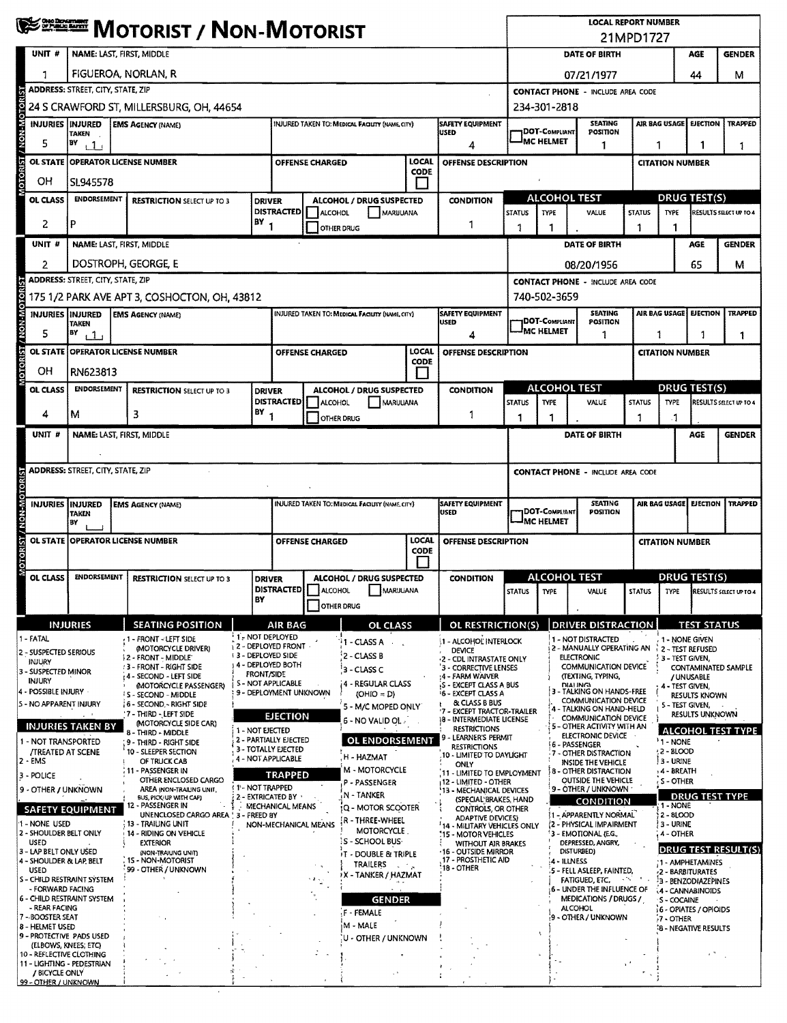|                                                        |                                                 | <b>WE DESCRIPT / NON-MOTORIST</b>                                                   |                               |                                                                               |                        |                                                 | <b>LOCAL REPORT NUMBER</b><br>21MPD1727 |                                                                                       |                                              |                                                                                                    |                                                                        |                                                |                                      |                                        |                                                                                |  |
|--------------------------------------------------------|-------------------------------------------------|-------------------------------------------------------------------------------------|-------------------------------|-------------------------------------------------------------------------------|------------------------|-------------------------------------------------|-----------------------------------------|---------------------------------------------------------------------------------------|----------------------------------------------|----------------------------------------------------------------------------------------------------|------------------------------------------------------------------------|------------------------------------------------|--------------------------------------|----------------------------------------|--------------------------------------------------------------------------------|--|
| UNIT #                                                 | <b>NAME: LAST, FIRST, MIDDLE</b>                |                                                                                     |                               |                                                                               |                        |                                                 |                                         | DATE OF BIRTH                                                                         |                                              |                                                                                                    |                                                                        |                                                | <b>GENDER</b>                        |                                        |                                                                                |  |
|                                                        |                                                 | FIGUEROA, NORLAN, R                                                                 |                               |                                                                               |                        |                                                 |                                         | 07/21/1977                                                                            |                                              |                                                                                                    |                                                                        |                                                | 44                                   | м                                      |                                                                                |  |
|                                                        | <b>ADDRESS: STREET, CITY, STATE, ZIP</b>        |                                                                                     |                               |                                                                               |                        |                                                 |                                         |                                                                                       | <b>CONTACT PHONE - INCLUDE AREA CODE</b>     |                                                                                                    |                                                                        |                                                |                                      |                                        |                                                                                |  |
|                                                        |                                                 | 24 S CRAWFORD ST, MILLERSBURG, OH, 44654                                            |                               |                                                                               |                        |                                                 |                                         |                                                                                       |                                              | 234-301-2818                                                                                       |                                                                        |                                                |                                      |                                        |                                                                                |  |
| / NON-MC<br>INJURIES INJURED                           | TAKEN                                           | <b>EMS AGENCY (NAME)</b>                                                            |                               |                                                                               |                        | INJURED TAKEN TO: MEDICAL FACILITY (NAME, CITY) |                                         | SAFETY EQUIPMENT<br><b>USED</b>                                                       |                                              | <b>1DOT-COMPLIANT</b>                                                                              | <b>SEATING</b><br>POSITION                                             |                                                | AIR BAG USAGE                        | <b>EJECTION</b>                        | <b>TRAPPED</b>                                                                 |  |
| 5                                                      | BY<br>11                                        |                                                                                     |                               |                                                                               |                        |                                                 |                                         | 4                                                                                     |                                              | IMC HELMET<br>1                                                                                    |                                                                        |                                                | 1<br>1                               |                                        |                                                                                |  |
| <b>MOTORIST</b><br><b>OL STATE</b>                     | <b>OPERATOR LICENSE NUMBER</b>                  |                                                                                     |                               |                                                                               | <b>OFFENSE CHARGED</b> |                                                 | LOCAL<br>CODE                           | <b>OFFENSE DESCRIPTION</b>                                                            |                                              |                                                                                                    |                                                                        |                                                | <b>CITATION NUMBER</b>               |                                        |                                                                                |  |
| OН                                                     | SL945578                                        |                                                                                     |                               |                                                                               |                        |                                                 | $\mathcal{L}_{\mathcal{A}}$             |                                                                                       |                                              |                                                                                                    |                                                                        |                                                |                                      |                                        |                                                                                |  |
| OL CLASS                                               | <b>ENDORSEMENT</b>                              | <b>RESTRICTION SELECT UP TO 3</b>                                                   |                               | <b>ALCOHOL / DRUG SUSPECTED</b><br>DRIVER<br>DISTRACTED   ALCOHOL<br>MARUUANA |                        |                                                 | <b>CONDITION</b>                        | <b>ALCOHOL TEST</b><br><b>STATUS</b><br>TYPE                                          |                                              | VALUE                                                                                              | DRUG TEST(S)<br><b>TYPE</b><br>RESULTS SELECT UP TO 4<br><b>STATUS</b> |                                                |                                      |                                        |                                                                                |  |
| 2                                                      | p                                               | $BY$ <sub>1</sub><br>1<br>OTHER DRUG                                                |                               |                                                                               |                        | 1                                               | 1                                       |                                                                                       | 1                                            |                                                                                                    |                                                                        |                                                |                                      |                                        |                                                                                |  |
| UNIT #                                                 | <b>NAME: LAST, FIRST, MIDDLE</b>                |                                                                                     |                               |                                                                               |                        |                                                 |                                         |                                                                                       |                                              |                                                                                                    | DATE OF BIRTH                                                          |                                                |                                      | AGE                                    | <b>GENDER</b>                                                                  |  |
|                                                        |                                                 | DOSTROPH, GEORGE, E                                                                 |                               |                                                                               |                        |                                                 |                                         |                                                                                       |                                              |                                                                                                    | 08/20/1956                                                             |                                                |                                      | 65                                     | М                                                                              |  |
|                                                        | <b>ADDRESS: STREET, CITY, STATE, ZIP</b>        |                                                                                     |                               |                                                                               |                        |                                                 |                                         |                                                                                       |                                              |                                                                                                    | <b>CONTACT PHONE - INCLUDE AREA CODE</b>                               |                                                |                                      |                                        |                                                                                |  |
|                                                        |                                                 | 175 1/2 PARK AVE APT 3, COSHOCTON, OH, 43812                                        |                               |                                                                               |                        |                                                 |                                         |                                                                                       |                                              | 740-502-3659                                                                                       |                                                                        |                                                |                                      |                                        |                                                                                |  |
| <b>M-NON</b><br>INJURIES IINJURED                      | <b>TAKEN</b>                                    | <b>EMS AGENCY (NAME)</b>                                                            |                               |                                                                               |                        | INJURED TAKEN TO: MEDICAL FACILITY (NAME CITY)  |                                         | SAFETY EQUIPMENT<br><b>USED</b>                                                       |                                              | 1DOT-Compliant<br>MC HELMET                                                                        | <b>SEATING</b><br>POSITION                                             |                                                | AIR BAG USAGE EJECTION               |                                        | <b>TRAPPED</b>                                                                 |  |
| 5                                                      | BY<br>i 1 i<br>OL STATE OPERATOR LICENSE NUMBER |                                                                                     |                               |                                                                               |                        |                                                 | LOCAL                                   | 4                                                                                     |                                              |                                                                                                    | 1                                                                      |                                                | 1<br>1<br>1                          |                                        |                                                                                |  |
| <b>CIORIST</b>                                         |                                                 |                                                                                     |                               |                                                                               | <b>OFFENSE CHARGED</b> |                                                 | CODE                                    | OFFENSE DESCRIPTION                                                                   |                                              |                                                                                                    |                                                                        |                                                | <b>CITATION NUMBER</b>               |                                        |                                                                                |  |
| OН                                                     | RN623813<br><b>ENDORSEMENT</b>                  |                                                                                     |                               |                                                                               |                        |                                                 | $\overline{a}$                          |                                                                                       |                                              | <b>ALCOHOL TEST</b>                                                                                |                                                                        |                                                | <b>DRUG TEST(S)</b>                  |                                        |                                                                                |  |
| OL CLASS                                               |                                                 | <b>RESTRICTION SELECT UP TO 3</b>                                                   |                               | <b>DRIVER</b><br><b>DISTRACTED</b>                                            | <b>ALCOHOL</b>         | ALCOHOL / DRUG SUSPECTED<br>MARUUANA            |                                         | <b>CONDITION</b>                                                                      | <b>STATUS</b>                                | <b>TYPE</b>                                                                                        | VALUE                                                                  | <b>STATUS</b>                                  | TYPE                                 |                                        | RESULTS SELECT UP TO 4                                                         |  |
| 4                                                      | м                                               | 3                                                                                   | BY                            | 1                                                                             |                        | OTHER DRUG                                      |                                         | 1                                                                                     | 1                                            | 1                                                                                                  |                                                                        | 1                                              | -1                                   |                                        |                                                                                |  |
| unit #                                                 | NAME: LAST, FIRST, MIDDLE                       |                                                                                     |                               |                                                                               |                        |                                                 |                                         |                                                                                       |                                              |                                                                                                    | DATE OF BIRTH                                                          |                                                |                                      | AGE                                    | <b>GENDER</b>                                                                  |  |
|                                                        |                                                 |                                                                                     |                               |                                                                               |                        |                                                 |                                         |                                                                                       |                                              |                                                                                                    |                                                                        |                                                |                                      |                                        |                                                                                |  |
|                                                        | <b>ADDRESS: STREET, CITY, STATE, ZIP</b>        |                                                                                     |                               |                                                                               |                        |                                                 |                                         |                                                                                       |                                              |                                                                                                    | <b>CONTACT PHONE - INCLUDE AREA CODE</b>                               |                                                |                                      |                                        |                                                                                |  |
| <b>INJURIES INJURED</b>                                |                                                 | <b>EMS AGENCY (NAME)</b>                                                            |                               |                                                                               |                        | INJURED TAKEN TO: MEDICAL FACILITY (NAME CITY)  |                                         | SAFETY EQUIPMENT                                                                      |                                              |                                                                                                    | <b>SEATING</b>                                                         |                                                | AIR BAG USAGE EJECTION               |                                        | <b>TRAPPED</b>                                                                 |  |
|                                                        | <b>TAKEN</b><br>BY                              |                                                                                     |                               |                                                                               |                        |                                                 |                                         | <b>USED</b>                                                                           |                                              | <b>IDOT-COMPLIANT</b><br><u>JMC HELMET</u>                                                         | POSITION                                                               |                                                |                                      |                                        |                                                                                |  |
| MOTORIST / NON-MOTO                                    | OL STATE OPERATOR LICENSE NUMBER                |                                                                                     |                               |                                                                               | <b>OFFENSE CHARGED</b> |                                                 | <b>LOCAL</b>                            | OFFENSE DESCRIPTION                                                                   |                                              |                                                                                                    |                                                                        |                                                | <b>CITATION NUMBER</b>               |                                        |                                                                                |  |
|                                                        |                                                 |                                                                                     |                               |                                                                               |                        |                                                 | <b>CODE</b>                             |                                                                                       |                                              |                                                                                                    |                                                                        |                                                |                                      |                                        |                                                                                |  |
| OL CLASS                                               | <b>ENDORSEMENT</b>                              | <b>RESTRICTION SELECT UP TO 3</b>                                                   |                               | ALCOHOL / DRUG SUSPECTED<br><b>DRIVER</b>                                     |                        |                                                 | <b>CONDITION</b>                        |                                                                                       | <b>ALCOHOL TEST</b>                          |                                                                                                    |                                                                        | DRUG TEST(S)                                   |                                      |                                        |                                                                                |  |
|                                                        |                                                 |                                                                                     | BY                            |                                                                               | DISTRACTED   ALCOHOL   | MARUUANA                                        |                                         |                                                                                       | STATUS TYPE                                  |                                                                                                    | VALUE                                                                  |                                                |                                      |                                        | $\overline{\phantom{a}}$ status $\overline{\phantom{a}}$ type results sections |  |
|                                                        | <b>INJURIES</b>                                 | <b>SEATING POSITION</b>                                                             |                               | <b>AIR BAG</b>                                                                |                        | <b>OTHER DRUG</b><br><b>OL CLASS</b>            |                                         | OL RESTRICTION(S)                                                                     |                                              |                                                                                                    | <b>DRIVER DISTRACTION</b>                                              |                                                |                                      | <b>TEST STATUS</b>                     |                                                                                |  |
| 1 - FATAL                                              |                                                 | -1 - FRONT - LEFT SIDE                                                              | <sup>1</sup> 1 - NOT DEPLOYED |                                                                               |                        | <b>11 - CLASS A</b>                             |                                         | 1 - ALCOHOL INTERLOCK                                                                 |                                              |                                                                                                    | 1 - NOT DISTRACTED                                                     |                                                | 1 - NONE GIVEN                       |                                        |                                                                                |  |
| 2 - SUSPECTED SERIOUS<br>INJURY                        |                                                 | (MOTORCYCLE DRIVER)<br>12 - FRONT - MIDDLE                                          | <b>13 - DEPLOYED SIDE</b>     | 12 - DEPLOYED FRONT                                                           |                        | 2 - CLASS B                                     |                                         | DEVICE<br>2 - CDL INTRASTATE ONLY                                                     |                                              |                                                                                                    | 2 - MANUALLY OPERATING AN 2 - TEST REFUSED<br><b>ELECTRONIC</b>        |                                                | 3 - TEST GIVEN,                      |                                        |                                                                                |  |
| 3 - SUSPECTED MINOR<br><b>INJURY</b>                   |                                                 | : 3 - FRONT - RIGHT SIDE<br>t 4 - SECOND - LEFT SIDE                                | <b>FRONT/SIDE</b>             | 4 - DEPLOYED BOTH                                                             |                        | 3 - CLASS C                                     |                                         | '3 - CORRECTIVE LENSES<br>:4 - FARM WAIVER                                            |                                              |                                                                                                    | <b>COMMUNICATION DEVICE</b><br>(TEXTING, TYPING,                       |                                                |                                      | / UNUSABLE                             | CONTAMINATED SAMPLE                                                            |  |
| 4 - POSSIBLE INJURY                                    |                                                 | <b>MOTORCYCLE PASSENGER)</b><br>S - SECOND - MIDDLE                                 |                               | S - NOT APPLICABLE<br>9 - DEPLOYMENT UNKNOWN                                  |                        | <b>14 - REGULAR CLASS</b><br>$(OHIO = D)$       |                                         | S - EXCEPT CLASS A BUS<br><b>16 - EXCEPT CLASS A</b>                                  |                                              |                                                                                                    | <b>DIALING</b><br>3 - TALKING ON HANDS-FREE<br>COMMUNICATION DEVICE    |                                                | 4 - TEST GIVEN,                      | RESULTS KNOWN                          |                                                                                |  |
| 5 - NO APPARENT INJURY                                 |                                                 | 16 - SECOND - RIGHT SIDE<br>'7 THIRD - LEFT SIDE                                    |                               | <b>EJECTION</b>                                                               |                        | 5 - M/C MOPED ONLY<br>6 - NO VALID OL .         |                                         | & CLASS B BUS<br>7 - EXCEPT TRACTOR-TRAILER<br>18 - INTERMEDIATE LICENSE              |                                              | 4                                                                                                  | - TALKING ON HAND-HELD<br><b>COMMUNICATION DEVICE</b>                  |                                                | 5 - TEST GIVEN,                      | RESULTS UNKNOWN                        |                                                                                |  |
|                                                        | <b>INJURIES TAKEN BY</b>                        | (MOTORCYCLE SIDE CAR)<br>8 - THIRD - MIDDLE                                         | 1 - NOT EJECTED               | 2 - PARTIALLY EJECTED                                                         |                        |                                                 |                                         | <b>RESTRICTIONS</b><br>9 - LEARNER'S PERMIT                                           |                                              |                                                                                                    | 5 - OTHER ACTIVITY WITH AN<br>ELECTRONIC DEVICE                        |                                                |                                      |                                        | <b>ALCOHOL TEST TYPE</b>                                                       |  |
| 1 - NOT TRANSPORTED<br><b>/TREATED AT SCENE</b>        |                                                 | 9 - Third - Right Side<br>10 - SLEEPER SECTION                                      |                               | 3 - TOTALLY EJECTED<br>4 - NOT APPLICABLE                                     |                        | <b>OL ENDORSEMENT</b><br>H - HAZMAT             |                                         | <b>RESTRICTIONS</b><br>10 - LIMITED TO DAYLIGHT                                       |                                              |                                                                                                    | <b>6 - PASSENGER</b><br>7 - OTHER DISTRACTION                          |                                                | $1 - NONE$<br>$(2 - BLOOD$           |                                        |                                                                                |  |
| 2 - EMS<br>3 - POLICE                                  |                                                 | OF TRUCK CAB<br>11 - PASSENGER IN                                                   |                               | <b>TRAPPED</b>                                                                |                        | M - MOTORCYCLE                                  |                                         | ONLY<br>11 - LIMITED TO EMPLOYMENT                                                    |                                              |                                                                                                    | <b>INSIDE THE VEHICLE</b><br>8 - OTHER DISTRACTION                     |                                                | 3 - URINE<br>14 - BREATH             |                                        |                                                                                |  |
| 9 - OTHER / UNKNOWN                                    |                                                 | OTHER ENCLOSED CARGO<br>AREA (NON-TRAILING UNIT,                                    | 1 1 - NOT TRAPPED             |                                                                               |                        | P - PASSENGER<br>N - TANKER                     |                                         | 12 - LIMITED - OTHER<br>13 - MECHANICAL DEVICES                                       |                                              |                                                                                                    | OUTSIDE THE VEHICLE<br>9 - OTHER / UNKNOWN ·                           |                                                | S-OTHER                              |                                        |                                                                                |  |
|                                                        | <b>SAFETY EQUIPMENT</b>                         | BUS, PICK-UP WITH CAP)<br>12 - Passenger in<br>UNENCLOSED CARGO AREA ' 3 - FREED BY | 2 - EXTRICATED BY             | MECHANICAL MEANS                                                              |                        | tQ - MOTOR SCOOTER                              |                                         | (SPECIAL BRAKES, HAND<br>CONTROLS, OR OTHER                                           |                                              |                                                                                                    | CONDITION<br>11 - APPARENTLY NORMAL                                    |                                                | 1 - NONE<br>) 2 - 8LOOD              |                                        | <b>DRUG TEST TYPE</b>                                                          |  |
| 1 - NONE USED<br>2 - SHOULDER BELT ONLY                |                                                 | . 13 - TRAILING UNIT<br>14 - RIDING ON VEHICLE                                      |                               | NON-MECHANICAL MEANS                                                          |                        | .R - THREE-WHEEL<br>MOTORCYCLE                  |                                         | <b>ADAPTIVE DEVICES)</b><br>14 - MILITARY VEHICLES ONLY<br><b>15 - MOTOR VEHICLES</b> |                                              |                                                                                                    | (2 - PHYSICAL IMPAIRMENT                                               |                                                | ) 3 - URINE                          |                                        |                                                                                |  |
| USED<br>3 - LAP BELT ONLY USED                         |                                                 | <b>EXTERIOR</b><br>(NON-TRAIUNG UNIT)                                               |                               |                                                                               |                        | : S - SCHOOL BUS-                               |                                         | <b>WITHOUT AIR BRAKES</b><br>.16 - OUTSIDE MIRROR                                     |                                              | 3 - EMOTIONAL (E.G.,<br>4 - OTHER<br>DEPRESSED, ANGRY,<br><b>DRUG TEST RESULT(S)</b><br>DISTURBED) |                                                                        |                                                |                                      |                                        |                                                                                |  |
| 4 - SHOULDER & LAP, BELT<br><b>USED</b>                |                                                 | 15 - NON-MOTORIST<br>99 - OTHER / UNKNOWN                                           |                               | <b>IT - DOUBLE &amp; TRIPLE</b><br>TRAILERS<br>$\sim 10^4$ .                  |                        |                                                 |                                         | 17 - PROSTHETIC AID<br>18 - OTHER                                                     |                                              |                                                                                                    | 4 - ILLNESS<br>5 - FELL ASLEEP, FAINTED,                               |                                                |                                      | :1 - AMPHETAMINES<br>-2 - BARBITURATES |                                                                                |  |
| S - CHILD RESTRAINT SYSTEM<br>- FORWARD FACING         |                                                 |                                                                                     |                               |                                                                               |                        |                                                 | ≯X – TANKER / HAZMAT                    |                                                                                       | FATIGUED, ETC.<br>6 - UNDER THE INFLUENCE OF |                                                                                                    | A Thu                                                                  | 3 - BENZODIAZEPINES<br><b>4 - CANNABINOIDS</b> |                                      |                                        |                                                                                |  |
| 6 - CHILD RESTRAINT SYSTEM<br>- REAR FACING            |                                                 |                                                                                     |                               |                                                                               |                        | <b>GENDER</b>                                   |                                         |                                                                                       |                                              | MEDICATIONS / DRUGS /<br><b>ALCOHOL</b>                                                            |                                                                        |                                                | 5 - COCAINE<br>6 - OPIATES / OPIOIDS |                                        |                                                                                |  |
| 7 - BOOSTER SEAT<br>8 - HELMET USED                    |                                                 |                                                                                     |                               |                                                                               |                        | F - FEMALE<br>M - MALE                          |                                         |                                                                                       |                                              |                                                                                                    | 9 - OTHER / UNKNOWN<br>$-7 -$ OTHER                                    |                                                |                                      | <b>18 - NEGATIVE RESULTS</b>           |                                                                                |  |
| 9 - PROTECTIVE PADS USED<br>(ELBOWS, KNEES; ETC)       |                                                 |                                                                                     |                               |                                                                               |                        | U - OTHER / UNKNOWN                             |                                         |                                                                                       |                                              |                                                                                                    |                                                                        |                                                |                                      |                                        |                                                                                |  |
| 10 - REFLECTIVE CLOTHING<br>11 - LIGHTING - PEDESTRIAN |                                                 |                                                                                     |                               |                                                                               |                        |                                                 |                                         |                                                                                       |                                              |                                                                                                    |                                                                        |                                                |                                      |                                        |                                                                                |  |
| / BICYCLE ONLY<br>99 - OTHER / UNKNOWN                 |                                                 |                                                                                     |                               |                                                                               |                        |                                                 |                                         |                                                                                       |                                              |                                                                                                    |                                                                        |                                                |                                      |                                        |                                                                                |  |